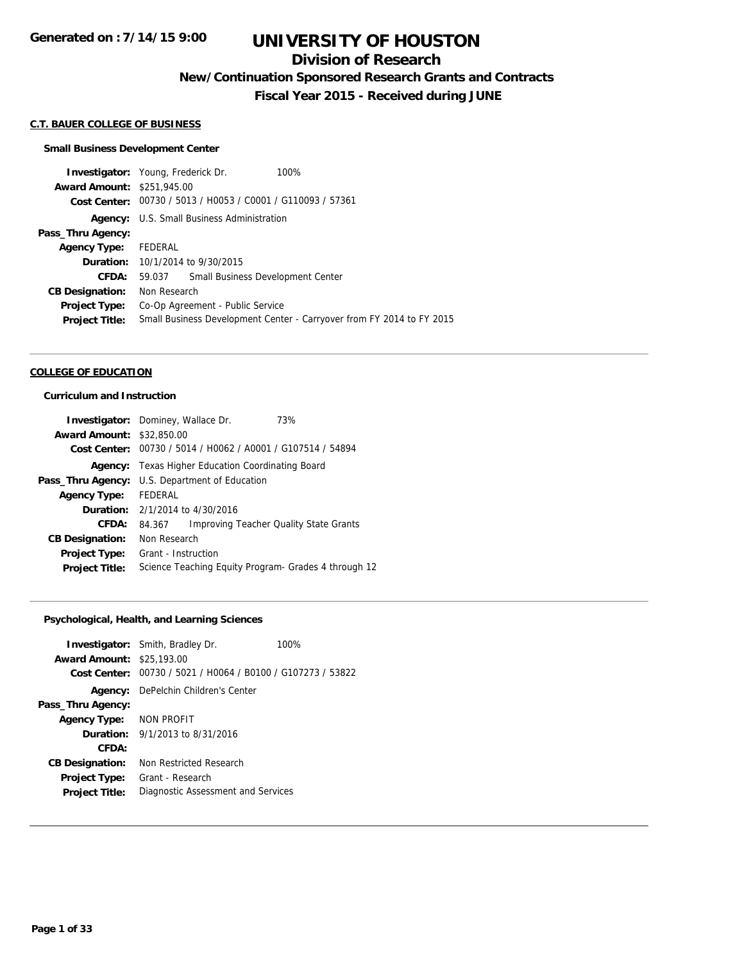# **Division of Research**

**New/Continuation Sponsored Research Grants and Contracts**

**Fiscal Year 2015 - Received during JUNE**

#### **C.T. BAUER COLLEGE OF BUSINESS**

## **Small Business Development Center**

|                                   | <b>Investigator:</b> Young, Frederick Dr.<br>100%                     |
|-----------------------------------|-----------------------------------------------------------------------|
| <b>Award Amount: \$251,945.00</b> |                                                                       |
|                                   | Cost Center: 00730 / 5013 / H0053 / C0001 / G110093 / 57361           |
|                                   | <b>Agency:</b> U.S. Small Business Administration                     |
| Pass_Thru Agency:                 |                                                                       |
| <b>Agency Type:</b>               | FEDERAL                                                               |
|                                   | <b>Duration:</b> 10/1/2014 to 9/30/2015                               |
| <b>CFDA:</b>                      | Small Business Development Center<br>59.037                           |
| <b>CB Designation:</b>            | Non Research                                                          |
| <b>Project Type:</b>              | Co-Op Agreement - Public Service                                      |
| <b>Project Title:</b>             | Small Business Development Center - Carryover from FY 2014 to FY 2015 |
|                                   |                                                                       |

#### **COLLEGE OF EDUCATION**

### **Curriculum and Instruction**

|                                  | Investigator: Dominey, Wallace Dr.<br>73%                   |  |
|----------------------------------|-------------------------------------------------------------|--|
| <b>Award Amount: \$32,850.00</b> |                                                             |  |
|                                  | Cost Center: 00730 / 5014 / H0062 / A0001 / G107514 / 54894 |  |
| Agency:                          | Texas Higher Education Coordinating Board                   |  |
|                                  | Pass_Thru Agency: U.S. Department of Education              |  |
| <b>Agency Type:</b>              | FEDERAL                                                     |  |
|                                  | <b>Duration:</b> $2/1/2014$ to $4/30/2016$                  |  |
| CFDA:                            | <b>Improving Teacher Quality State Grants</b><br>84.367     |  |
| <b>CB Designation:</b>           | Non Research                                                |  |
| Project Type:                    | Grant - Instruction                                         |  |
| <b>Project Title:</b>            | Science Teaching Equity Program- Grades 4 through 12        |  |

## **Psychological, Health, and Learning Sciences**

|                                  | <b>Investigator:</b> Smith, Bradley Dr.                      | 100% |
|----------------------------------|--------------------------------------------------------------|------|
| <b>Award Amount: \$25,193.00</b> |                                                              |      |
|                                  | Cost Center: $00730 / 5021 / 0064 / 00100 / 0107273 / 53822$ |      |
|                                  | <b>Agency:</b> DePelchin Children's Center                   |      |
| Pass_Thru Agency:                |                                                              |      |
| Agency Type: NON PROFIT          |                                                              |      |
|                                  | <b>Duration:</b> $9/1/2013$ to $8/31/2016$                   |      |
| CFDA:                            |                                                              |      |
| <b>CB Designation:</b>           | Non Restricted Research                                      |      |
| <b>Project Type:</b>             | Grant - Research                                             |      |
| <b>Project Title:</b>            | Diagnostic Assessment and Services                           |      |
|                                  |                                                              |      |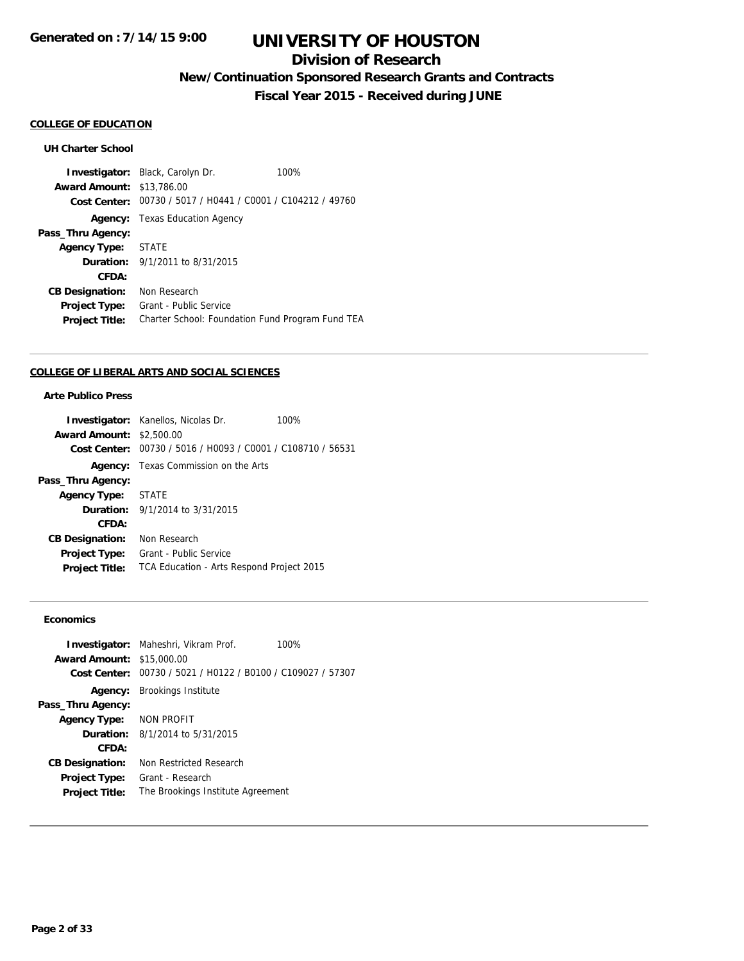# **Division of Research**

**New/Continuation Sponsored Research Grants and Contracts**

**Fiscal Year 2015 - Received during JUNE**

#### **COLLEGE OF EDUCATION**

### **UH Charter School**

**Investigator:** Black, Carolyn Dr. 100% **Award Amount:** \$13,786.00 **Cost Center:** 00730 / 5017 / H0441 / C0001 / C104212 / 49760 **Agency:** Texas Education Agency **Pass\_Thru Agency: Agency Type:** STATE **Duration:** 9/1/2011 to 8/31/2015 **CFDA: CB Designation:** Non Research **Project Type:** Grant - Public Service **Project Title:** Charter School: Foundation Fund Program Fund TEA

#### **COLLEGE OF LIBERAL ARTS AND SOCIAL SCIENCES**

## **Arte Publico Press**

|                                 | <b>Investigator:</b> Kanellos, Nicolas Dr.                  | 100% |
|---------------------------------|-------------------------------------------------------------|------|
| <b>Award Amount: \$2,500.00</b> |                                                             |      |
|                                 | Cost Center: 00730 / 5016 / H0093 / C0001 / C108710 / 56531 |      |
|                                 | <b>Agency:</b> Texas Commission on the Arts                 |      |
| Pass_Thru Agency:               |                                                             |      |
| Agency Type: STATE              |                                                             |      |
|                                 | <b>Duration:</b> $9/1/2014$ to $3/31/2015$                  |      |
| CFDA:                           |                                                             |      |
| <b>CB Designation:</b>          | Non Research                                                |      |
| <b>Project Type:</b>            | Grant - Public Service                                      |      |
| <b>Project Title:</b>           | TCA Education - Arts Respond Project 2015                   |      |

### **Economics**

|                                  | <b>Investigator:</b> Maheshri, Vikram Prof.                 | 100% |
|----------------------------------|-------------------------------------------------------------|------|
| <b>Award Amount: \$15,000.00</b> |                                                             |      |
|                                  | Cost Center: 00730 / 5021 / H0122 / B0100 / C109027 / 57307 |      |
|                                  | <b>Agency:</b> Brookings Institute                          |      |
| Pass_Thru Agency:                |                                                             |      |
| Agency Type: NON PROFIT          |                                                             |      |
|                                  | <b>Duration:</b> $8/1/2014$ to $5/31/2015$                  |      |
| CFDA:                            |                                                             |      |
| <b>CB Designation:</b>           | Non Restricted Research                                     |      |
| <b>Project Type:</b>             | Grant - Research                                            |      |
| <b>Project Title:</b>            | The Brookings Institute Agreement                           |      |
|                                  |                                                             |      |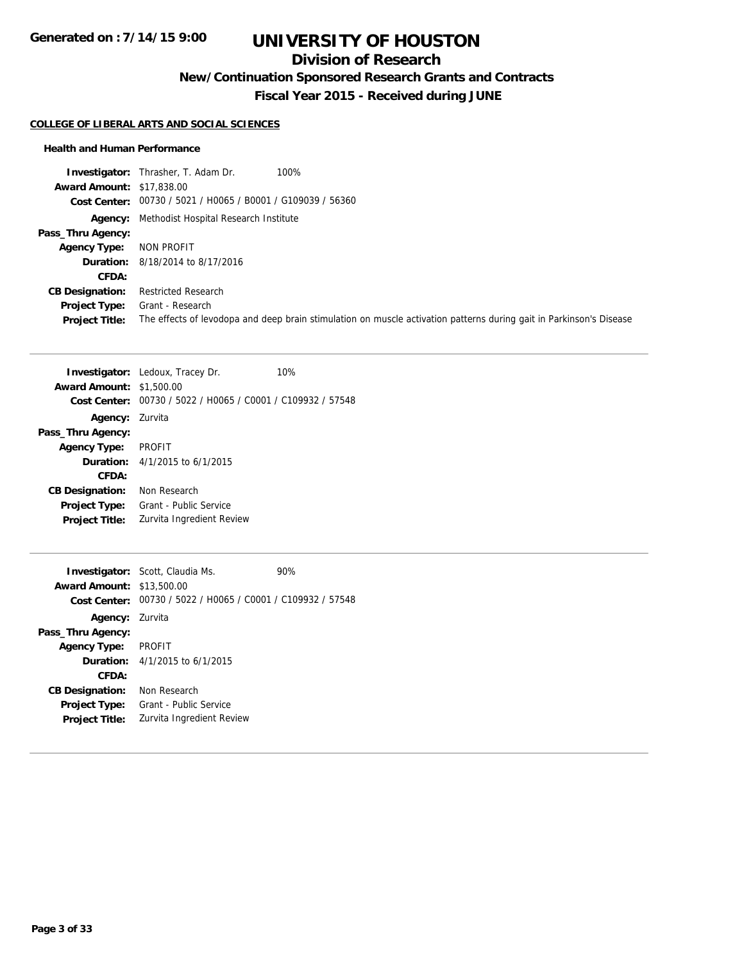# **Division of Research**

**New/Continuation Sponsored Research Grants and Contracts**

**Fiscal Year 2015 - Received during JUNE**

#### **COLLEGE OF LIBERAL ARTS AND SOCIAL SCIENCES**

#### **Health and Human Performance**

**Investigator:** Thrasher, T. Adam Dr. 100% **Award Amount:** \$17,838.00 **Cost Center:** 00730 / 5021 / H0065 / B0001 / G109039 / 56360 **Agency:** Methodist Hospital Research Institute **Pass\_Thru Agency: Agency Type:** NON PROFIT **Duration:** 8/18/2014 to 8/17/2016 **CFDA: CB Designation:** Restricted Research **Project Type:** Grant - Research **Project Title:** The effects of levodopa and deep brain stimulation on muscle activation patterns during gait in Parkinson's Disease

|                        | 10%<br><b>Investigator:</b> Ledoux, Tracey Dr. |
|------------------------|------------------------------------------------|
| <b>Award Amount:</b>   | \$1,500.00                                     |
| Cost Center:           | 00730 / 5022 / H0065 / C0001 / C109932 / 57548 |
| Agency:                | Zurvita                                        |
| Pass_Thru Agency:      |                                                |
| <b>Agency Type:</b>    | <b>PROFIT</b>                                  |
|                        | <b>Duration:</b> $4/1/2015$ to $6/1/2015$      |
| CFDA:                  |                                                |
| <b>CB Designation:</b> | Non Research                                   |
| <b>Project Type:</b>   | Grant - Public Service                         |
| <b>Project Title:</b>  | Zurvita Ingredient Review                      |
|                        |                                                |

| <b>Award Amount: \$13,500.00</b> | <b>Investigator:</b> Scott, Claudia Ms.                     | 90% |
|----------------------------------|-------------------------------------------------------------|-----|
|                                  | Cost Center: 00730 / 5022 / H0065 / C0001 / C109932 / 57548 |     |
| <b>Agency: Zurvita</b>           |                                                             |     |
| Pass_Thru Agency:                |                                                             |     |
| Agency Type: PROFIT              |                                                             |     |
|                                  | <b>Duration:</b> $4/1/2015$ to $6/1/2015$                   |     |
| CFDA:                            |                                                             |     |
| <b>CB Designation:</b>           | Non Research                                                |     |
| <b>Project Type:</b>             | Grant - Public Service                                      |     |
| <b>Project Title:</b>            | Zurvita Ingredient Review                                   |     |
|                                  |                                                             |     |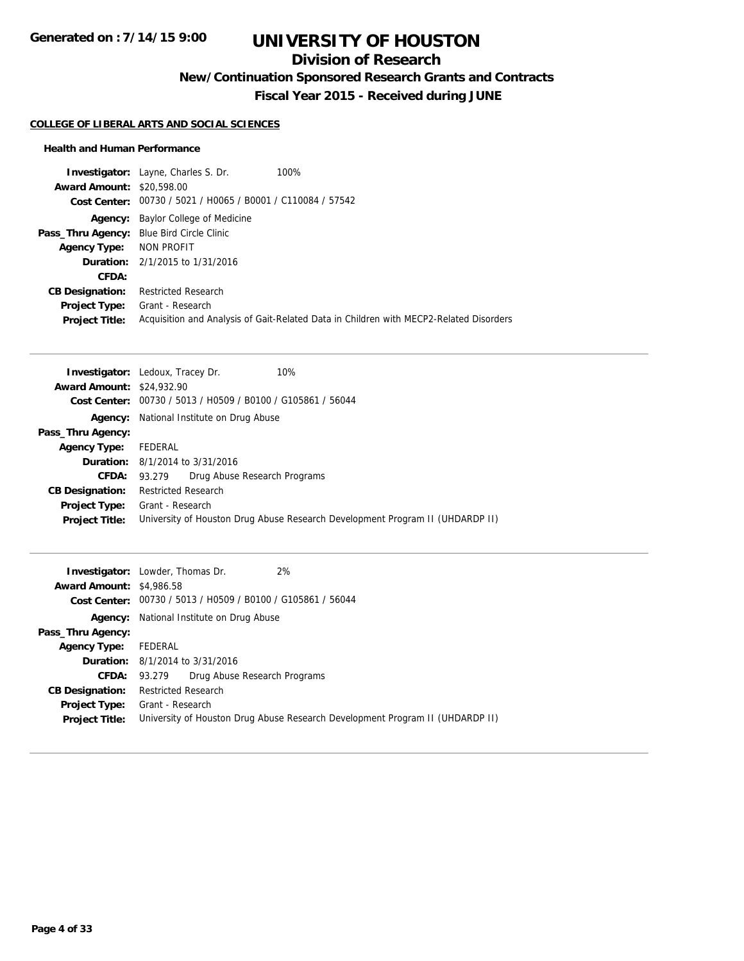# **Division of Research**

**New/Continuation Sponsored Research Grants and Contracts**

**Fiscal Year 2015 - Received during JUNE**

### **COLLEGE OF LIBERAL ARTS AND SOCIAL SCIENCES**

### **Health and Human Performance**

|                                           | <b>Investigator:</b> Layne, Charles S. Dr.                  | 100%                                                                                   |
|-------------------------------------------|-------------------------------------------------------------|----------------------------------------------------------------------------------------|
| <b>Award Amount: \$20,598,00</b>          |                                                             |                                                                                        |
|                                           | Cost Center: 00730 / 5021 / H0065 / B0001 / C110084 / 57542 |                                                                                        |
|                                           | <b>Agency:</b> Baylor College of Medicine                   |                                                                                        |
| Pass_Thru Agency: Blue Bird Circle Clinic |                                                             |                                                                                        |
| Agency Type: NON PROFIT                   |                                                             |                                                                                        |
|                                           | <b>Duration:</b> 2/1/2015 to 1/31/2016                      |                                                                                        |
| CFDA:                                     |                                                             |                                                                                        |
| <b>CB Designation:</b>                    | <b>Restricted Research</b>                                  |                                                                                        |
| <b>Project Type:</b>                      | Grant - Research                                            |                                                                                        |
| <b>Project Title:</b>                     |                                                             | Acquisition and Analysis of Gait-Related Data in Children with MECP2-Related Disorders |

|                                  | 10%<br><b>Investigator:</b> Ledoux, Tracey Dr.                                |
|----------------------------------|-------------------------------------------------------------------------------|
| <b>Award Amount: \$24,932.90</b> |                                                                               |
|                                  | Cost Center: 00730 / 5013 / H0509 / B0100 / G105861 / 56044                   |
|                                  | <b>Agency:</b> National Institute on Drug Abuse                               |
| Pass_Thru Agency:                |                                                                               |
| <b>Agency Type:</b>              | FEDERAL                                                                       |
|                                  | <b>Duration:</b> $8/1/2014$ to $3/31/2016$                                    |
| <b>CFDA:</b>                     | Drug Abuse Research Programs<br>93.279                                        |
| <b>CB Designation:</b>           | <b>Restricted Research</b>                                                    |
| <b>Project Type:</b>             | Grant - Research                                                              |
| <b>Project Title:</b>            | University of Houston Drug Abuse Research Development Program II (UHDARDP II) |

|                                 | 2%<br><b>Investigator:</b> Lowder, Thomas Dr.                                 |
|---------------------------------|-------------------------------------------------------------------------------|
| <b>Award Amount: \$4,986.58</b> |                                                                               |
|                                 | Cost Center: 00730 / 5013 / H0509 / B0100 / G105861 / 56044                   |
|                                 | <b>Agency:</b> National Institute on Drug Abuse                               |
| Pass_Thru Agency:               |                                                                               |
| <b>Agency Type:</b>             | FEDERAL                                                                       |
|                                 | <b>Duration:</b> 8/1/2014 to 3/31/2016                                        |
|                                 | <b>CFDA:</b> 93.279 Drug Abuse Research Programs                              |
| <b>CB Designation:</b>          | Restricted Research                                                           |
| <b>Project Type:</b>            | Grant - Research                                                              |
| <b>Project Title:</b>           | University of Houston Drug Abuse Research Development Program II (UHDARDP II) |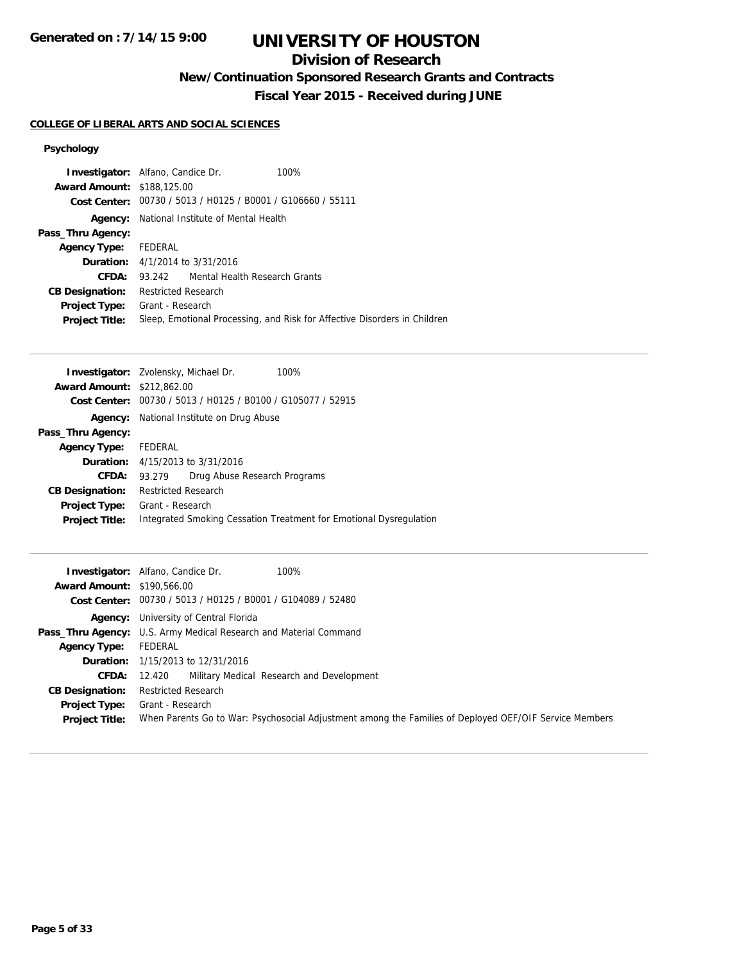**Generated on : 7/14/15 9:00**

# **UNIVERSITY OF HOUSTON**

# **Division of Research**

**New/Continuation Sponsored Research Grants and Contracts**

**Fiscal Year 2015 - Received during JUNE**

### **COLLEGE OF LIBERAL ARTS AND SOCIAL SCIENCES**

## **Psychology**

| <b>Award Amount: \$188,125,00</b>      | <b>Investigator:</b> Alfano, Candice Dr.<br>Cost Center: 00730 / 5013 / H0125 / B0001 / G106660 / 55111 | 100%                                                                      |
|----------------------------------------|---------------------------------------------------------------------------------------------------------|---------------------------------------------------------------------------|
| Agency:                                | National Institute of Mental Health                                                                     |                                                                           |
| Pass_Thru Agency:                      |                                                                                                         |                                                                           |
| Agency Type: FEDERAL                   |                                                                                                         |                                                                           |
|                                        | <b>Duration:</b> 4/1/2014 to 3/31/2016                                                                  |                                                                           |
| CFDA:                                  | 93.242 Mental Health Research Grants                                                                    |                                                                           |
| <b>CB Designation:</b>                 | <b>Restricted Research</b>                                                                              |                                                                           |
| Project Type:<br><b>Project Title:</b> | Grant - Research                                                                                        | Sleep, Emotional Processing, and Risk for Affective Disorders in Children |

|                                   | Investigator: Zvolensky, Michael Dr.<br>100%                       |
|-----------------------------------|--------------------------------------------------------------------|
| <b>Award Amount: \$212,862.00</b> |                                                                    |
| Cost Center:                      | 00730 / 5013 / H0125 / B0100 / G105077 / 52915                     |
| Agency:                           | National Institute on Drug Abuse                                   |
| Pass_Thru Agency:                 |                                                                    |
| <b>Agency Type:</b>               | FEDERAL                                                            |
|                                   | <b>Duration:</b> $4/15/2013$ to $3/31/2016$                        |
| <b>CFDA:</b>                      | Drug Abuse Research Programs<br>93.279                             |
| <b>CB Designation:</b>            | <b>Restricted Research</b>                                         |
| <b>Project Type:</b>              | Grant - Research                                                   |
| <b>Project Title:</b>             | Integrated Smoking Cessation Treatment for Emotional Dysregulation |
|                                   |                                                                    |

|                                   | 100%<br><b>Investigator:</b> Alfano, Candice Dr.                                                       |
|-----------------------------------|--------------------------------------------------------------------------------------------------------|
| <b>Award Amount: \$190.566.00</b> |                                                                                                        |
|                                   | Cost Center: 00730 / 5013 / H0125 / B0001 / G104089 / 52480                                            |
|                                   | <b>Agency:</b> University of Central Florida                                                           |
|                                   | <b>Pass_Thru Agency:</b> U.S. Army Medical Research and Material Command                               |
| <b>Agency Type:</b>               | FEDERAL                                                                                                |
|                                   | <b>Duration:</b> 1/15/2013 to 12/31/2016                                                               |
|                                   | <b>CFDA:</b> 12.420 Military Medical Research and Development                                          |
| <b>CB Designation:</b>            | <b>Restricted Research</b>                                                                             |
| <b>Project Type:</b>              | Grant - Research                                                                                       |
| <b>Project Title:</b>             | When Parents Go to War: Psychosocial Adjustment among the Families of Deployed OEF/OIF Service Members |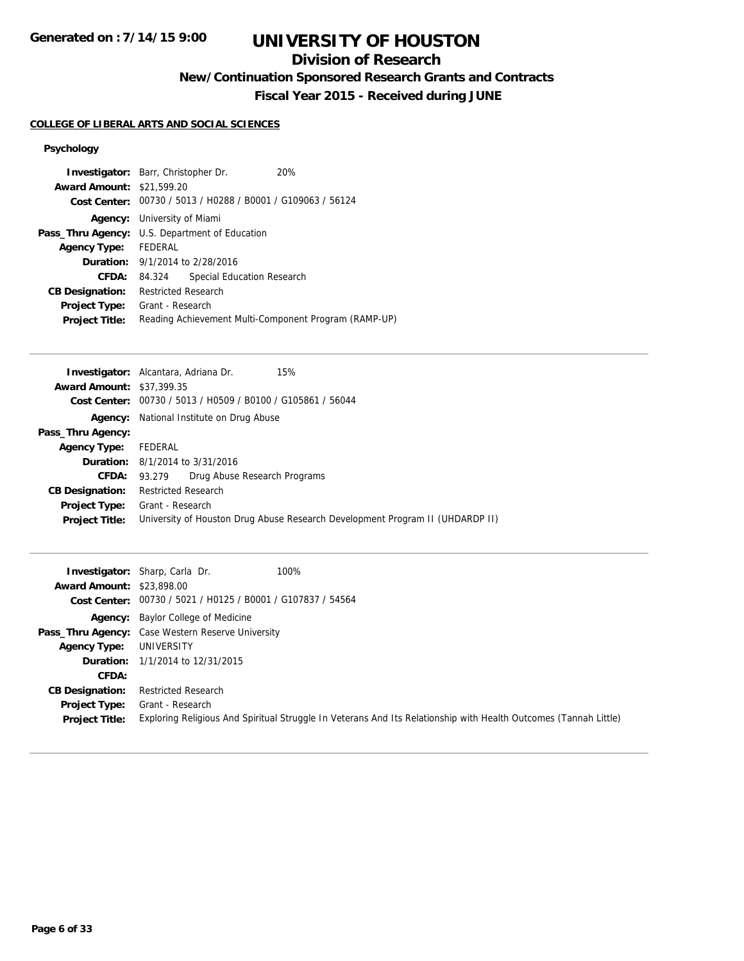# **Division of Research**

**New/Continuation Sponsored Research Grants and Contracts**

**Fiscal Year 2015 - Received during JUNE**

## **COLLEGE OF LIBERAL ARTS AND SOCIAL SCIENCES**

## **Psychology**

| <b>Investigator:</b> Barr, Christopher Dr.                  | 20%                                                                                  |  |
|-------------------------------------------------------------|--------------------------------------------------------------------------------------|--|
| <b>Award Amount: \$21,599.20</b>                            |                                                                                      |  |
| Cost Center: 00730 / 5013 / H0288 / B0001 / G109063 / 56124 |                                                                                      |  |
|                                                             |                                                                                      |  |
| Pass_Thru Agency: U.S. Department of Education              |                                                                                      |  |
| Agency Type: FEDERAL                                        |                                                                                      |  |
| <b>Duration:</b> 9/1/2014 to 2/28/2016                      |                                                                                      |  |
| 84.324                                                      | Special Education Research                                                           |  |
|                                                             |                                                                                      |  |
|                                                             |                                                                                      |  |
|                                                             | Reading Achievement Multi-Component Program (RAMP-UP)                                |  |
|                                                             | <b>Agency:</b> University of Miami<br><b>Restricted Research</b><br>Grant - Research |  |

|                                  | <b>Investigator:</b> Alcantara, Adriana Dr.<br>15%                            |
|----------------------------------|-------------------------------------------------------------------------------|
| <b>Award Amount: \$37,399.35</b> |                                                                               |
|                                  | Cost Center: 00730 / 5013 / H0509 / B0100 / G105861 / 56044                   |
| Agency:                          | National Institute on Drug Abuse                                              |
| Pass_Thru Agency:                |                                                                               |
| <b>Agency Type:</b>              | FEDERAL                                                                       |
|                                  | <b>Duration:</b> 8/1/2014 to 3/31/2016                                        |
| CFDA:                            | Drug Abuse Research Programs<br>93.279                                        |
| <b>CB Designation:</b>           | <b>Restricted Research</b>                                                    |
| Project Type:                    | Grant - Research                                                              |
| <b>Project Title:</b>            | University of Houston Drug Abuse Research Development Program II (UHDARDP II) |

|                                  | 100%<br><b>Investigator:</b> Sharp, Carla Dr.                                                                    |
|----------------------------------|------------------------------------------------------------------------------------------------------------------|
| <b>Award Amount: \$23,898,00</b> |                                                                                                                  |
|                                  | Cost Center: 00730 / 5021 / H0125 / B0001 / G107837 / 54564                                                      |
|                                  | <b>Agency:</b> Baylor College of Medicine                                                                        |
|                                  | Pass_Thru Agency: Case Western Reserve University                                                                |
| <b>Agency Type:</b>              | UNIVERSITY                                                                                                       |
|                                  | <b>Duration:</b> 1/1/2014 to 12/31/2015                                                                          |
| <b>CFDA:</b>                     |                                                                                                                  |
| <b>CB Designation:</b>           | <b>Restricted Research</b>                                                                                       |
| <b>Project Type:</b>             | Grant - Research                                                                                                 |
| <b>Project Title:</b>            | Exploring Religious And Spiritual Struggle In Veterans And Its Relationship with Health Outcomes (Tannah Little) |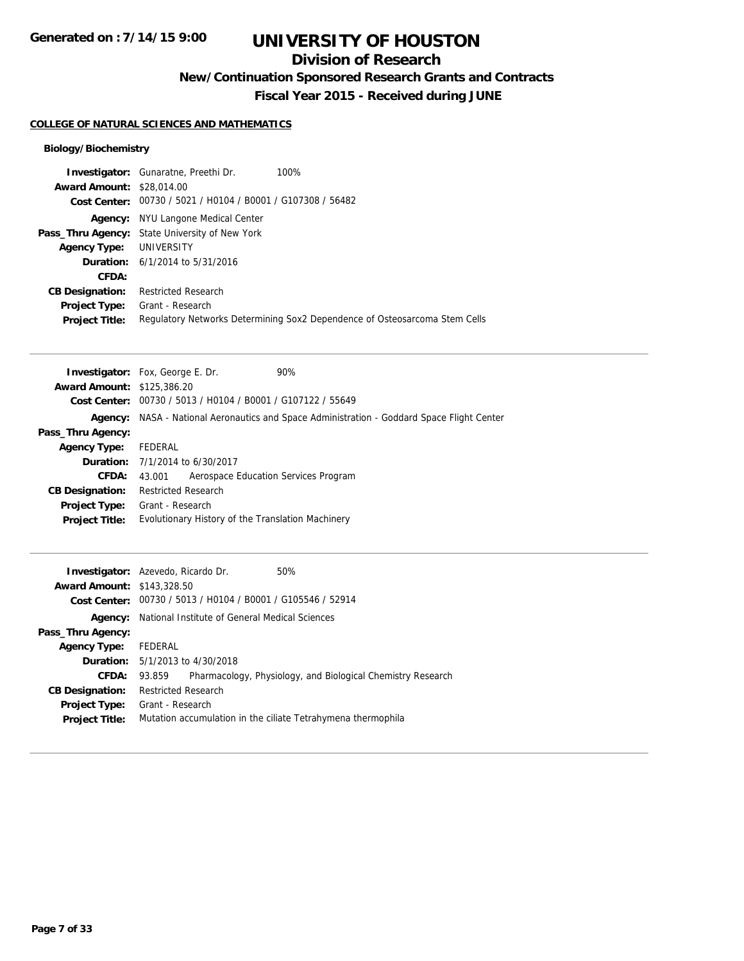# **Division of Research**

**New/Continuation Sponsored Research Grants and Contracts**

**Fiscal Year 2015 - Received during JUNE**

### **COLLEGE OF NATURAL SCIENCES AND MATHEMATICS**

## **Biology/Biochemistry**

|                                  | <b>Investigator:</b> Gunaratne, Preethi Dr.                 | 100%                                                                       |
|----------------------------------|-------------------------------------------------------------|----------------------------------------------------------------------------|
| <b>Award Amount: \$28,014.00</b> |                                                             |                                                                            |
|                                  | Cost Center: 00730 / 5021 / H0104 / B0001 / G107308 / 56482 |                                                                            |
| Agency:                          | NYU Langone Medical Center                                  |                                                                            |
|                                  | Pass_Thru Agency: State University of New York              |                                                                            |
| <b>Agency Type:</b>              | UNIVERSITY                                                  |                                                                            |
|                                  | <b>Duration:</b> 6/1/2014 to 5/31/2016                      |                                                                            |
| CFDA:                            |                                                             |                                                                            |
| <b>CB Designation:</b>           | <b>Restricted Research</b>                                  |                                                                            |
| <b>Project Type:</b>             | Grant - Research                                            |                                                                            |
| <b>Project Title:</b>            |                                                             | Regulatory Networks Determining Sox2 Dependence of Osteosarcoma Stem Cells |

|                                   | 90%<br><b>Investigator:</b> Fox, George E. Dr.                                                    |  |  |
|-----------------------------------|---------------------------------------------------------------------------------------------------|--|--|
| <b>Award Amount: \$125,386.20</b> |                                                                                                   |  |  |
|                                   | Cost Center: 00730 / 5013 / H0104 / B0001 / G107122 / 55649                                       |  |  |
|                                   | <b>Agency:</b> NASA - National Aeronautics and Space Administration - Goddard Space Flight Center |  |  |
| Pass_Thru Agency:                 |                                                                                                   |  |  |
| <b>Agency Type:</b>               | FEDERAL                                                                                           |  |  |
|                                   | <b>Duration:</b> 7/1/2014 to 6/30/2017                                                            |  |  |
| CFDA:                             | Aerospace Education Services Program<br>43.001                                                    |  |  |
| <b>CB Designation:</b>            | <b>Restricted Research</b>                                                                        |  |  |
| <b>Project Type:</b>              | Grant - Research                                                                                  |  |  |
| <b>Project Title:</b>             | Evolutionary History of the Translation Machinery                                                 |  |  |

|                                   | <b>Investigator:</b> Azevedo, Ricardo Dr.                    | 50%                                                         |  |  |  |
|-----------------------------------|--------------------------------------------------------------|-------------------------------------------------------------|--|--|--|
| <b>Award Amount: \$143,328.50</b> |                                                              |                                                             |  |  |  |
|                                   |                                                              | Cost Center: 00730 / 5013 / H0104 / B0001 / G105546 / 52914 |  |  |  |
| Agency:                           | National Institute of General Medical Sciences               |                                                             |  |  |  |
| Pass_Thru Agency:                 |                                                              |                                                             |  |  |  |
| <b>Agency Type:</b>               | FEDERAL                                                      |                                                             |  |  |  |
|                                   | <b>Duration:</b> 5/1/2013 to 4/30/2018                       |                                                             |  |  |  |
| <b>CFDA:</b>                      | 93.859                                                       | Pharmacology, Physiology, and Biological Chemistry Research |  |  |  |
| <b>CB Designation:</b>            | <b>Restricted Research</b>                                   |                                                             |  |  |  |
| <b>Project Type:</b>              | Grant - Research                                             |                                                             |  |  |  |
| <b>Project Title:</b>             | Mutation accumulation in the ciliate Tetrahymena thermophila |                                                             |  |  |  |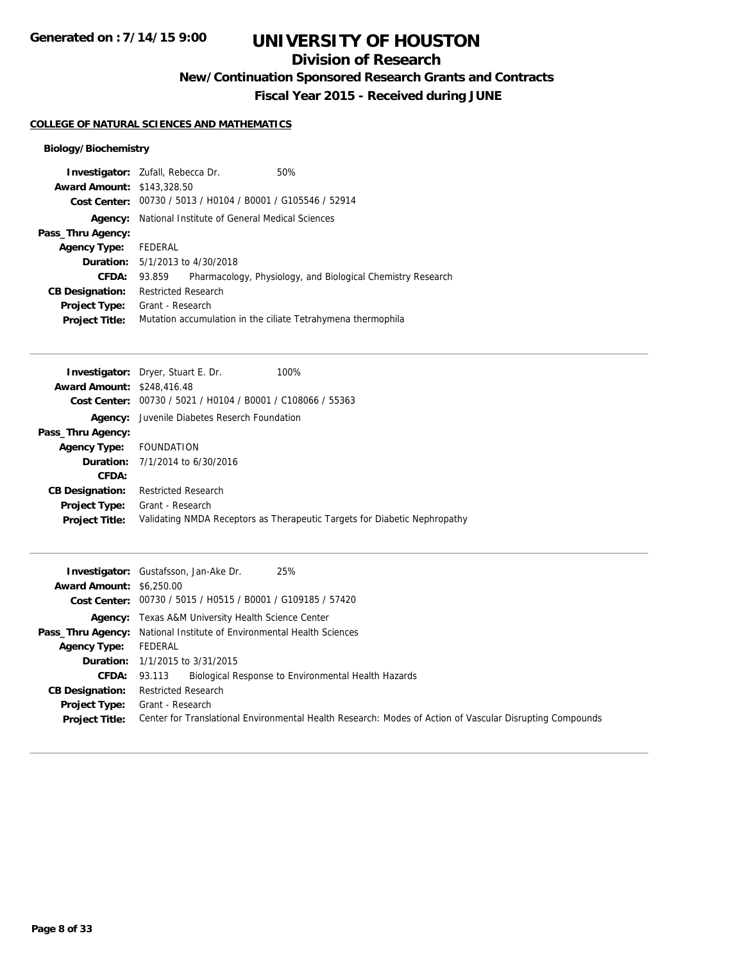# **Division of Research**

**New/Continuation Sponsored Research Grants and Contracts**

**Fiscal Year 2015 - Received during JUNE**

### **COLLEGE OF NATURAL SCIENCES AND MATHEMATICS**

## **Biology/Biochemistry**

| <b>Investigator:</b> Zufall, Rebecca Dr. |                                        |                                                | 50%                                                          |
|------------------------------------------|----------------------------------------|------------------------------------------------|--------------------------------------------------------------|
| <b>Award Amount: \$143,328.50</b>        |                                        |                                                |                                                              |
|                                          |                                        |                                                | Cost Center: 00730 / 5013 / H0104 / B0001 / G105546 / 52914  |
| Agency:                                  |                                        | National Institute of General Medical Sciences |                                                              |
| Pass_Thru Agency:                        |                                        |                                                |                                                              |
| <b>Agency Type:</b>                      | FEDERAL                                |                                                |                                                              |
|                                          | <b>Duration:</b> 5/1/2013 to 4/30/2018 |                                                |                                                              |
| CFDA:                                    | 93.859                                 |                                                | Pharmacology, Physiology, and Biological Chemistry Research  |
| <b>CB Designation:</b>                   | <b>Restricted Research</b>             |                                                |                                                              |
| <b>Project Type:</b>                     | Grant - Research                       |                                                |                                                              |
| <b>Project Title:</b>                    |                                        |                                                | Mutation accumulation in the ciliate Tetrahymena thermophila |

|                                   | <b>Investigator:</b> Dryer, Stuart E. Dr.<br>100%                         |
|-----------------------------------|---------------------------------------------------------------------------|
| <b>Award Amount: \$248,416.48</b> |                                                                           |
| <b>Cost Center:</b>               | 00730 / 5021 / H0104 / B0001 / C108066 / 55363                            |
|                                   | <b>Agency:</b> Juvenile Diabetes Reserch Foundation                       |
| Pass_Thru Agency:                 |                                                                           |
| Agency Type: FOUNDATION           |                                                                           |
|                                   | <b>Duration:</b> $7/1/2014$ to $6/30/2016$                                |
| CFDA:                             |                                                                           |
| <b>CB Designation:</b>            | <b>Restricted Research</b>                                                |
| <b>Project Type:</b>              | Grant - Research                                                          |
| <b>Project Title:</b>             | Validating NMDA Receptors as Therapeutic Targets for Diabetic Nephropathy |
|                                   |                                                                           |

|                                 | 25%<br><b>Investigator:</b> Gustafsson, Jan-Ake Dr.                                                      |
|---------------------------------|----------------------------------------------------------------------------------------------------------|
| <b>Award Amount: \$6,250.00</b> |                                                                                                          |
|                                 | Cost Center: 00730 / 5015 / H0515 / B0001 / G109185 / 57420                                              |
|                                 | <b>Agency:</b> Texas A&M University Health Science Center                                                |
|                                 | <b>Pass_Thru Agency:</b> National Institute of Environmental Health Sciences                             |
| <b>Agency Type:</b>             | FEDERAL                                                                                                  |
|                                 | <b>Duration:</b> $1/1/2015$ to $3/31/2015$                                                               |
| CFDA:                           | Biological Response to Environmental Health Hazards<br>93.113                                            |
| <b>CB Designation:</b>          | <b>Restricted Research</b>                                                                               |
| <b>Project Type:</b>            | Grant - Research                                                                                         |
| <b>Project Title:</b>           | Center for Translational Environmental Health Research: Modes of Action of Vascular Disrupting Compounds |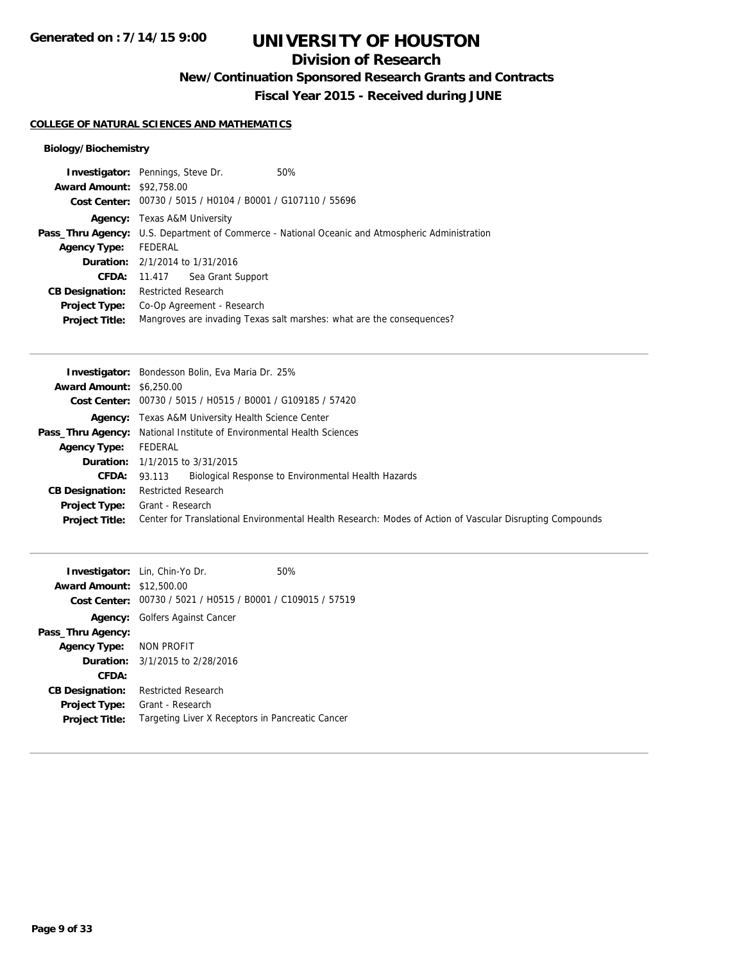# **Division of Research**

**New/Continuation Sponsored Research Grants and Contracts**

**Fiscal Year 2015 - Received during JUNE**

### **COLLEGE OF NATURAL SCIENCES AND MATHEMATICS**

## **Biology/Biochemistry**

| <b>Investigator:</b> Pennings, Steve Dr. |                                                                                                        |                                                             | 50%                                                                   |  |
|------------------------------------------|--------------------------------------------------------------------------------------------------------|-------------------------------------------------------------|-----------------------------------------------------------------------|--|
| <b>Award Amount: \$92,758.00</b>         |                                                                                                        |                                                             |                                                                       |  |
|                                          |                                                                                                        | Cost Center: 00730 / 5015 / H0104 / B0001 / G107110 / 55696 |                                                                       |  |
|                                          | <b>Agency:</b> Texas A&M University                                                                    |                                                             |                                                                       |  |
|                                          | <b>Pass_Thru Agency:</b> U.S. Department of Commerce - National Oceanic and Atmospheric Administration |                                                             |                                                                       |  |
| <b>Agency Type:</b>                      | FEDERAL                                                                                                |                                                             |                                                                       |  |
|                                          |                                                                                                        | <b>Duration:</b> 2/1/2014 to 1/31/2016                      |                                                                       |  |
|                                          |                                                                                                        | <b>CFDA:</b> 11.417 Sea Grant Support                       |                                                                       |  |
| <b>CB Designation:</b>                   | <b>Restricted Research</b>                                                                             |                                                             |                                                                       |  |
| Project Type:                            |                                                                                                        | Co-Op Agreement - Research                                  |                                                                       |  |
| <b>Project Title:</b>                    |                                                                                                        |                                                             | Mangroves are invading Texas salt marshes: what are the consequences? |  |
|                                          |                                                                                                        |                                                             |                                                                       |  |

|                                 | <b>Investigator:</b> Bondesson Bolin, Eva Maria Dr. 25%                                                  |
|---------------------------------|----------------------------------------------------------------------------------------------------------|
| <b>Award Amount: \$6,250.00</b> |                                                                                                          |
|                                 | Cost Center: 00730 / 5015 / H0515 / B0001 / G109185 / 57420                                              |
|                                 | <b>Agency:</b> Texas A&M University Health Science Center                                                |
|                                 | <b>Pass_Thru Agency:</b> National Institute of Environmental Health Sciences                             |
| <b>Agency Type:</b>             | FEDERAL                                                                                                  |
|                                 | <b>Duration:</b> $1/1/2015$ to $3/31/2015$                                                               |
| <b>CFDA:</b>                    | Biological Response to Environmental Health Hazards<br>93.113                                            |
| <b>CB Designation:</b>          | <b>Restricted Research</b>                                                                               |
| <b>Project Type:</b>            | Grant - Research                                                                                         |
| <b>Project Title:</b>           | Center for Translational Environmental Health Research: Modes of Action of Vascular Disrupting Compounds |

|                                  | <b>Investigator:</b> Lin, Chin-Yo Dr.                       | 50% |
|----------------------------------|-------------------------------------------------------------|-----|
| <b>Award Amount: \$12,500.00</b> |                                                             |     |
|                                  | Cost Center: 00730 / 5021 / H0515 / B0001 / C109015 / 57519 |     |
|                                  | <b>Agency:</b> Golfers Against Cancer                       |     |
| Pass_Thru Agency:                |                                                             |     |
| Agency Type: NON PROFIT          |                                                             |     |
|                                  | <b>Duration:</b> 3/1/2015 to 2/28/2016                      |     |
| CFDA:                            |                                                             |     |
| <b>CB Designation:</b>           | <b>Restricted Research</b>                                  |     |
| Project Type:                    | Grant - Research                                            |     |
| <b>Project Title:</b>            | Targeting Liver X Receptors in Pancreatic Cancer            |     |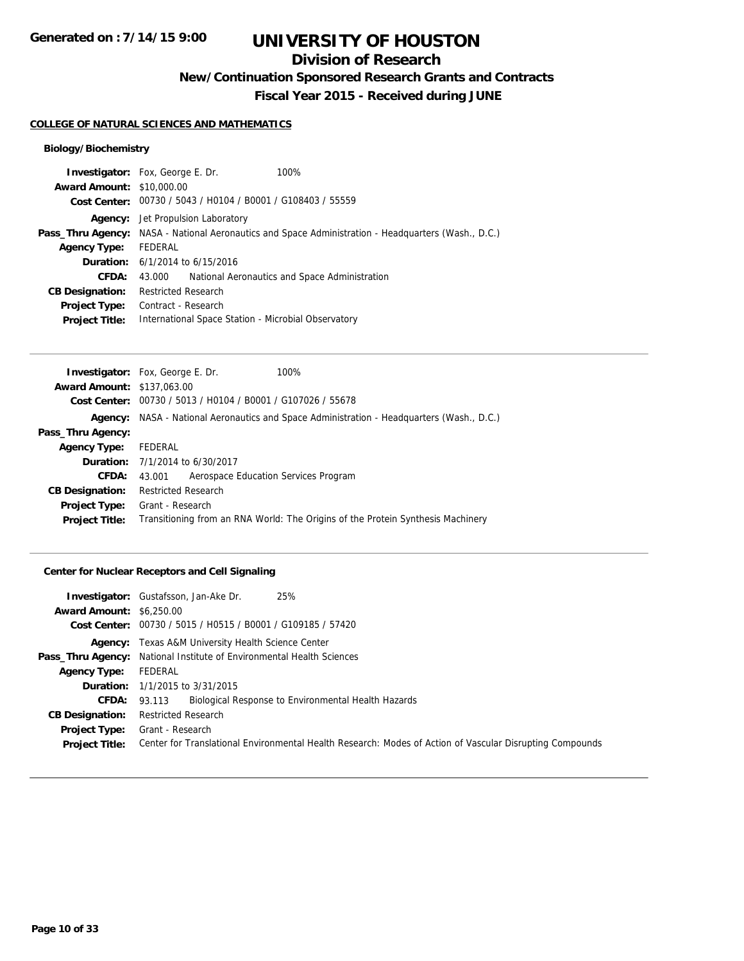# **Division of Research**

**New/Continuation Sponsored Research Grants and Contracts**

**Fiscal Year 2015 - Received during JUNE**

#### **COLLEGE OF NATURAL SCIENCES AND MATHEMATICS**

## **Biology/Biochemistry**

|                                  | <b>Investigator:</b> Fox, George E. Dr.                                                                    | 100%                                                        |  |  |  |
|----------------------------------|------------------------------------------------------------------------------------------------------------|-------------------------------------------------------------|--|--|--|
| <b>Award Amount: \$10,000.00</b> |                                                                                                            |                                                             |  |  |  |
|                                  |                                                                                                            | Cost Center: 00730 / 5043 / H0104 / B0001 / G108403 / 55559 |  |  |  |
|                                  | <b>Agency:</b> Jet Propulsion Laboratory                                                                   |                                                             |  |  |  |
|                                  | <b>Pass_Thru Agency:</b> NASA - National Aeronautics and Space Administration - Headquarters (Wash., D.C.) |                                                             |  |  |  |
| <b>Agency Type:</b>              | FEDERAL                                                                                                    |                                                             |  |  |  |
|                                  | <b>Duration:</b> $6/1/2014$ to $6/15/2016$                                                                 |                                                             |  |  |  |
| CFDA:                            | 43.000                                                                                                     | National Aeronautics and Space Administration               |  |  |  |
| <b>CB Designation:</b>           | <b>Restricted Research</b>                                                                                 |                                                             |  |  |  |
| <b>Project Type:</b>             | Contract - Research                                                                                        |                                                             |  |  |  |
| <b>Project Title:</b>            | International Space Station - Microbial Observatory                                                        |                                                             |  |  |  |
|                                  |                                                                                                            |                                                             |  |  |  |

|                                   | <b>Investigator:</b> Fox, George E. Dr.                                                          | 100%                                                        |  |  |  |
|-----------------------------------|--------------------------------------------------------------------------------------------------|-------------------------------------------------------------|--|--|--|
| <b>Award Amount: \$137,063.00</b> |                                                                                                  |                                                             |  |  |  |
|                                   |                                                                                                  | Cost Center: 00730 / 5013 / H0104 / B0001 / G107026 / 55678 |  |  |  |
|                                   | <b>Agency:</b> NASA - National Aeronautics and Space Administration - Headquarters (Wash., D.C.) |                                                             |  |  |  |
| Pass_Thru Agency:                 |                                                                                                  |                                                             |  |  |  |
| <b>Agency Type:</b>               | FEDERAL                                                                                          |                                                             |  |  |  |
|                                   | <b>Duration:</b> 7/1/2014 to 6/30/2017                                                           |                                                             |  |  |  |
| <b>CFDA:</b>                      | 43.001                                                                                           | Aerospace Education Services Program                        |  |  |  |
| <b>CB Designation:</b>            | <b>Restricted Research</b>                                                                       |                                                             |  |  |  |
| <b>Project Type:</b>              | Grant - Research                                                                                 |                                                             |  |  |  |
| <b>Project Title:</b>             | Transitioning from an RNA World: The Origins of the Protein Synthesis Machinery                  |                                                             |  |  |  |

## **Center for Nuclear Receptors and Cell Signaling**

|                                 | 25%<br><b>Investigator:</b> Gustafsson, Jan-Ake Dr.                                                      |
|---------------------------------|----------------------------------------------------------------------------------------------------------|
| <b>Award Amount: \$6,250.00</b> |                                                                                                          |
|                                 | Cost Center: 00730 / 5015 / H0515 / B0001 / G109185 / 57420                                              |
|                                 | <b>Agency:</b> Texas A&M University Health Science Center                                                |
|                                 | <b>Pass_Thru Agency:</b> National Institute of Environmental Health Sciences                             |
| <b>Agency Type:</b>             | FEDERAL                                                                                                  |
|                                 | <b>Duration:</b> 1/1/2015 to 3/31/2015                                                                   |
| CFDA:                           | Biological Response to Environmental Health Hazards<br>93.113                                            |
| <b>CB Designation:</b>          | <b>Restricted Research</b>                                                                               |
| <b>Project Type:</b>            | Grant - Research                                                                                         |
| <b>Project Title:</b>           | Center for Translational Environmental Health Research: Modes of Action of Vascular Disrupting Compounds |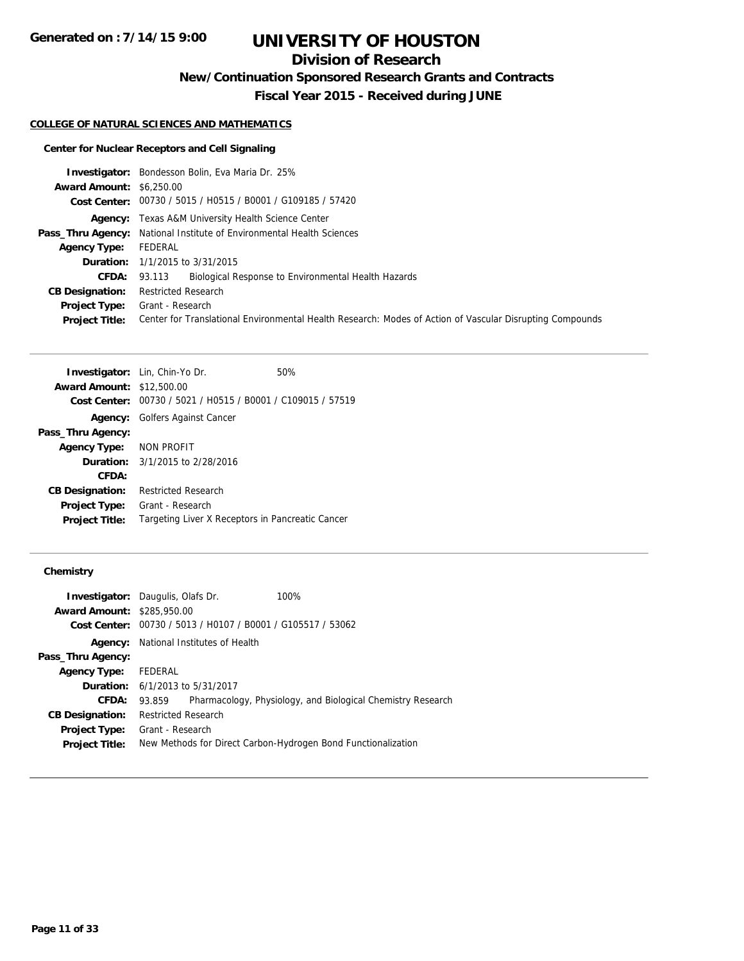# **Division of Research**

**New/Continuation Sponsored Research Grants and Contracts**

**Fiscal Year 2015 - Received during JUNE**

#### **COLLEGE OF NATURAL SCIENCES AND MATHEMATICS**

## **Center for Nuclear Receptors and Cell Signaling**

|                                 | <b>Investigator:</b> Bondesson Bolin, Eva Maria Dr. 25%                                                  |
|---------------------------------|----------------------------------------------------------------------------------------------------------|
| <b>Award Amount: \$6,250.00</b> |                                                                                                          |
|                                 | Cost Center: 00730 / 5015 / H0515 / B0001 / G109185 / 57420                                              |
|                                 | <b>Agency:</b> Texas A&M University Health Science Center                                                |
|                                 | <b>Pass_Thru Agency:</b> National Institute of Environmental Health Sciences                             |
| <b>Agency Type:</b>             | FEDERAL                                                                                                  |
|                                 | <b>Duration:</b> 1/1/2015 to 3/31/2015                                                                   |
| CFDA:                           | Biological Response to Environmental Health Hazards<br>93.113                                            |
| <b>CB Designation:</b>          | <b>Restricted Research</b>                                                                               |
| <b>Project Type:</b>            | Grant - Research                                                                                         |
| <b>Project Title:</b>           | Center for Translational Environmental Health Research: Modes of Action of Vascular Disrupting Compounds |

| <b>Investigator:</b> Lin, Chin-Yo Dr. | 50%                                                         |
|---------------------------------------|-------------------------------------------------------------|
| <b>Award Amount: \$12,500.00</b>      |                                                             |
|                                       | Cost Center: 00730 / 5021 / H0515 / B0001 / C109015 / 57519 |
|                                       | <b>Agency:</b> Golfers Against Cancer                       |
| Pass_Thru Agency:                     |                                                             |
| Agency Type: NON PROFIT               |                                                             |
|                                       | <b>Duration:</b> $3/1/2015$ to $2/28/2016$                  |
| CFDA:                                 |                                                             |
| <b>CB Designation:</b>                | <b>Restricted Research</b>                                  |
| <b>Project Type:</b>                  | Grant - Research                                            |
| <b>Project Title:</b>                 | Targeting Liver X Receptors in Pancreatic Cancer            |

## **Chemistry**

| <b>Investigator:</b> Daugulis, Olafs Dr. |                                                               |  | 100%                                                        |  |
|------------------------------------------|---------------------------------------------------------------|--|-------------------------------------------------------------|--|
| <b>Award Amount: \$285,950.00</b>        |                                                               |  |                                                             |  |
|                                          | Cost Center: 00730 / 5013 / H0107 / B0001 / G105517 / 53062   |  |                                                             |  |
|                                          | <b>Agency:</b> National Institutes of Health                  |  |                                                             |  |
| Pass_Thru Agency:                        |                                                               |  |                                                             |  |
| <b>Agency Type:</b>                      | FEDERAL                                                       |  |                                                             |  |
|                                          | <b>Duration:</b> 6/1/2013 to 5/31/2017                        |  |                                                             |  |
| <b>CFDA:</b>                             | 93.859                                                        |  | Pharmacology, Physiology, and Biological Chemistry Research |  |
| <b>CB Designation:</b>                   | <b>Restricted Research</b>                                    |  |                                                             |  |
| <b>Project Type:</b>                     | Grant - Research                                              |  |                                                             |  |
| <b>Project Title:</b>                    | New Methods for Direct Carbon-Hydrogen Bond Functionalization |  |                                                             |  |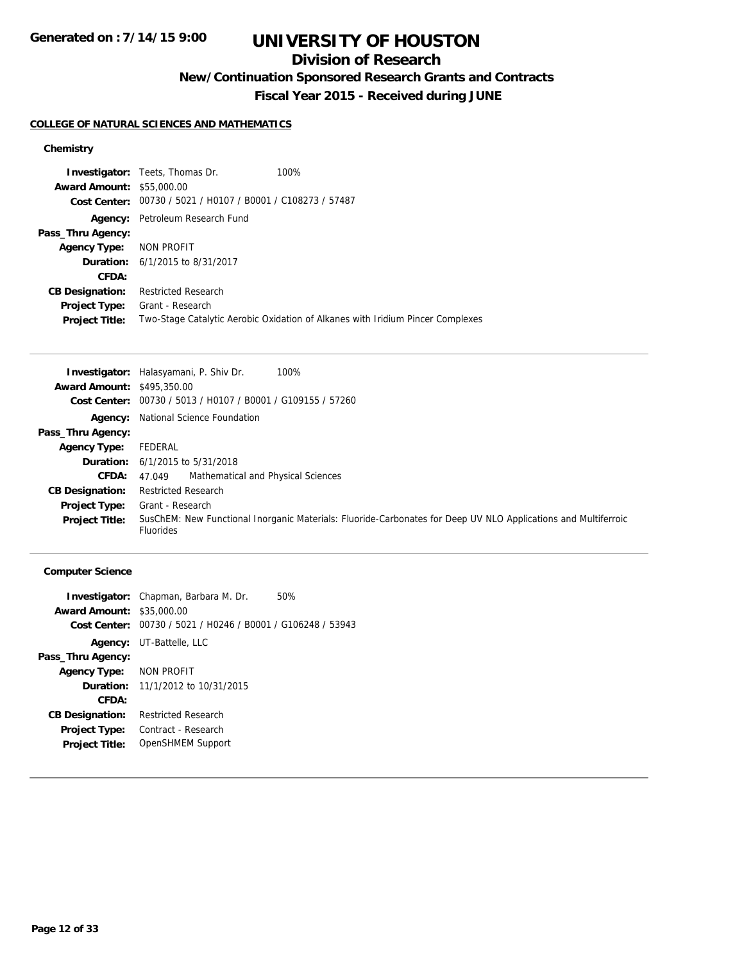# **Division of Research**

**New/Continuation Sponsored Research Grants and Contracts**

**Fiscal Year 2015 - Received during JUNE**

## **COLLEGE OF NATURAL SCIENCES AND MATHEMATICS**

## **Chemistry**

|                                  | <b>Investigator:</b> Teets, Thomas Dr.         | 100%                                                                           |
|----------------------------------|------------------------------------------------|--------------------------------------------------------------------------------|
| <b>Award Amount: \$55,000.00</b> |                                                |                                                                                |
| Cost Center:                     | 00730 / 5021 / H0107 / B0001 / C108273 / 57487 |                                                                                |
| Agency:                          | Petroleum Research Fund                        |                                                                                |
| Pass_Thru Agency:                |                                                |                                                                                |
| <b>Agency Type:</b>              | NON PROFIT                                     |                                                                                |
|                                  | <b>Duration:</b> 6/1/2015 to 8/31/2017         |                                                                                |
| CFDA:                            |                                                |                                                                                |
| <b>CB Designation:</b>           | <b>Restricted Research</b>                     |                                                                                |
| <b>Project Type:</b>             | Grant - Research                               |                                                                                |
| <b>Project Title:</b>            |                                                | Two-Stage Catalytic Aerobic Oxidation of Alkanes with Iridium Pincer Complexes |
|                                  |                                                |                                                                                |

|                                   | <b>Investigator:</b> Halasyamani, P. Shiv Dr.<br>100%                                                                              |
|-----------------------------------|------------------------------------------------------------------------------------------------------------------------------------|
| <b>Award Amount: \$495,350.00</b> |                                                                                                                                    |
| Cost Center:                      | 00730 / 5013 / H0107 / B0001 / G109155 / 57260                                                                                     |
|                                   | <b>Agency:</b> National Science Foundation                                                                                         |
| Pass_Thru Agency:                 |                                                                                                                                    |
| <b>Agency Type:</b>               | FEDERAL                                                                                                                            |
|                                   | <b>Duration:</b> $6/1/2015$ to $5/31/2018$                                                                                         |
| <b>CFDA:</b>                      | Mathematical and Physical Sciences<br>47.049                                                                                       |
| <b>CB Designation:</b>            | <b>Restricted Research</b>                                                                                                         |
| <b>Project Type:</b>              | Grant - Research                                                                                                                   |
| <b>Project Title:</b>             | SusChEM: New Functional Inorganic Materials: Fluoride-Carbonates for Deep UV NLO Applications and Multiferroic<br><b>Fluorides</b> |

## **Computer Science**

|                                  | <b>Investigator:</b> Chapman, Barbara M. Dr.                | 50% |
|----------------------------------|-------------------------------------------------------------|-----|
| <b>Award Amount: \$35,000.00</b> |                                                             |     |
|                                  | Cost Center: 00730 / 5021 / H0246 / B0001 / G106248 / 53943 |     |
|                                  | <b>Agency:</b> UT-Battelle, LLC                             |     |
| Pass_Thru Agency:                |                                                             |     |
| <b>Agency Type:</b>              | NON PROFIT                                                  |     |
|                                  | <b>Duration:</b> 11/1/2012 to 10/31/2015                    |     |
| CFDA:                            |                                                             |     |
| <b>CB Designation:</b>           | <b>Restricted Research</b>                                  |     |
| <b>Project Type:</b>             | Contract - Research                                         |     |
| <b>Project Title:</b>            | OpenSHMEM Support                                           |     |
|                                  |                                                             |     |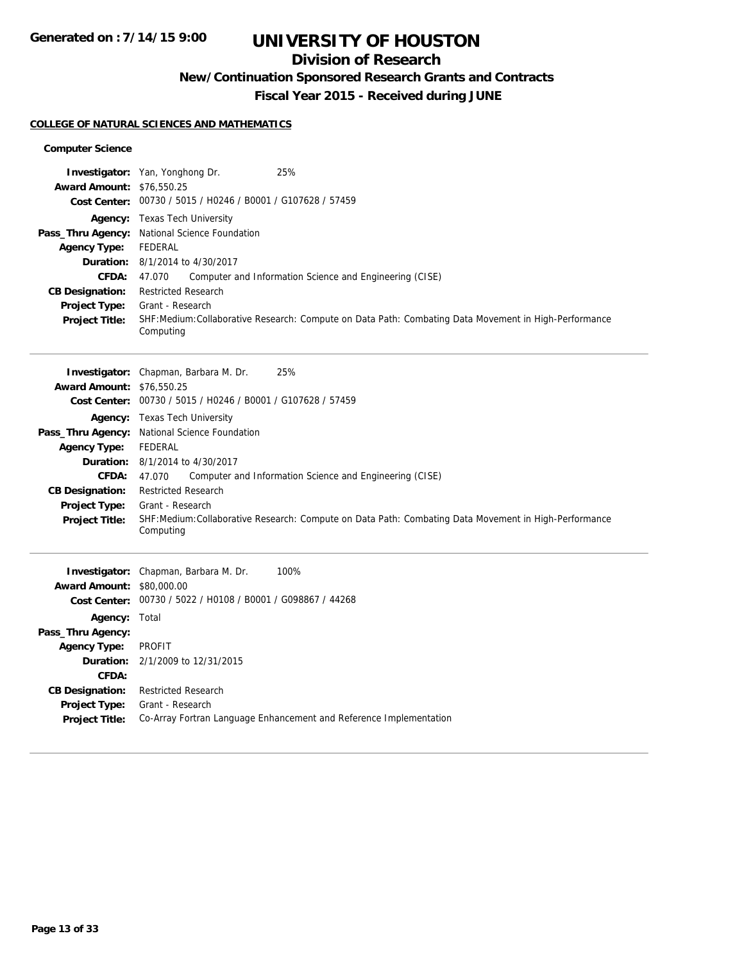# **Division of Research**

**New/Continuation Sponsored Research Grants and Contracts**

**Fiscal Year 2015 - Received during JUNE**

## **COLLEGE OF NATURAL SCIENCES AND MATHEMATICS**

### **Computer Science**

|                                                | 25%<br>Investigator: Yan, Yonghong Dr.                                                                            |
|------------------------------------------------|-------------------------------------------------------------------------------------------------------------------|
| <b>Award Amount: \$76,550.25</b>               | Cost Center: 00730 / 5015 / H0246 / B0001 / G107628 / 57459                                                       |
|                                                | Agency: Texas Tech University                                                                                     |
|                                                | Pass_Thru Agency: National Science Foundation                                                                     |
| <b>Agency Type:</b>                            | <b>FEDERAL</b>                                                                                                    |
|                                                | <b>Duration:</b> 8/1/2014 to 4/30/2017                                                                            |
| <b>CFDA:</b>                                   | Computer and Information Science and Engineering (CISE)<br>47.070                                                 |
| <b>CB Designation:</b><br>Project Type:        | <b>Restricted Research</b><br>Grant - Research                                                                    |
| <b>Project Title:</b>                          | SHF:Medium:Collaborative Research: Compute on Data Path: Combating Data Movement in High-Performance<br>Computing |
|                                                | Investigator: Chapman, Barbara M. Dr.<br>25%                                                                      |
| <b>Award Amount: \$76,550.25</b>               | Cost Center: 00730 / 5015 / H0246 / B0001 / G107628 / 57459                                                       |
|                                                | Agency: Texas Tech University                                                                                     |
|                                                | Pass_Thru Agency: National Science Foundation                                                                     |
| <b>Agency Type:</b>                            | <b>FEDERAL</b>                                                                                                    |
|                                                | <b>Duration:</b> 8/1/2014 to 4/30/2017                                                                            |
| <b>CFDA:</b>                                   | 47.070<br>Computer and Information Science and Engineering (CISE)<br><b>Restricted Research</b>                   |
| <b>CB Designation:</b><br><b>Project Type:</b> | Grant - Research                                                                                                  |
| <b>Project Title:</b>                          | SHF:Medium:Collaborative Research: Compute on Data Path: Combating Data Movement in High-Performance<br>Computing |
|                                                | 100%<br>Investigator: Chapman, Barbara M. Dr.                                                                     |
| <b>Award Amount: \$80,000.00</b>               |                                                                                                                   |
|                                                | Cost Center: 00730 / 5022 / H0108 / B0001 / G098867 / 44268                                                       |
| <b>Agency: Total</b>                           |                                                                                                                   |
| Pass_Thru Agency:                              |                                                                                                                   |
| <b>Agency Type:</b>                            | <b>PROFIT</b>                                                                                                     |
| CFDA:                                          | <b>Duration:</b> 2/1/2009 to 12/31/2015                                                                           |
| <b>CB Designation:</b>                         | <b>Restricted Research</b>                                                                                        |
| <b>Project Type:</b>                           | Grant - Research                                                                                                  |
| <b>Project Title:</b>                          | Co-Array Fortran Language Enhancement and Reference Implementation                                                |
|                                                |                                                                                                                   |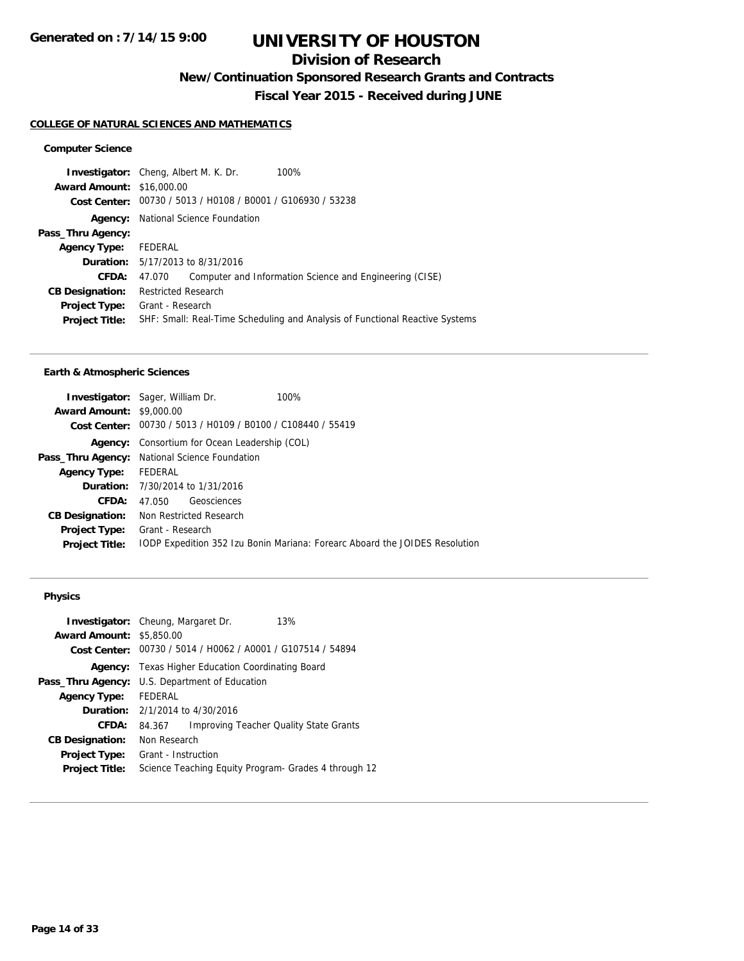# **Division of Research**

**New/Continuation Sponsored Research Grants and Contracts**

**Fiscal Year 2015 - Received during JUNE**

#### **COLLEGE OF NATURAL SCIENCES AND MATHEMATICS**

### **Computer Science**

| <b>Investigator:</b> Cheng, Albert M. K. Dr. |                                            |  | 100%                                                                         |
|----------------------------------------------|--------------------------------------------|--|------------------------------------------------------------------------------|
| <b>Award Amount: \$16,000.00</b>             |                                            |  |                                                                              |
|                                              |                                            |  | Cost Center: 00730 / 5013 / H0108 / B0001 / G106930 / 53238                  |
|                                              | <b>Agency:</b> National Science Foundation |  |                                                                              |
| Pass_Thru Agency:                            |                                            |  |                                                                              |
| <b>Agency Type:</b>                          | FEDERAL                                    |  |                                                                              |
|                                              | <b>Duration:</b> 5/17/2013 to 8/31/2016    |  |                                                                              |
| CFDA:                                        | 47.070                                     |  | Computer and Information Science and Engineering (CISE)                      |
| <b>CB Designation:</b>                       | <b>Restricted Research</b>                 |  |                                                                              |
| <b>Project Type:</b>                         | Grant - Research                           |  |                                                                              |
| <b>Project Title:</b>                        |                                            |  | SHF: Small: Real-Time Scheduling and Analysis of Functional Reactive Systems |
|                                              |                                            |  |                                                                              |

#### **Earth & Atmospheric Sciences**

| <b>Investigator:</b> Sager, William Dr.<br>100%                             |
|-----------------------------------------------------------------------------|
| <b>Award Amount: \$9,000.00</b>                                             |
| Cost Center: 00730 / 5013 / H0109 / B0100 / C108440 / 55419                 |
| Consortium for Ocean Leadership (COL)                                       |
| Pass_Thru Agency: National Science Foundation                               |
| Agency Type: FEDERAL                                                        |
| <b>Duration:</b> 7/30/2014 to 1/31/2016                                     |
| Geosciences<br>47.050                                                       |
| <b>CB Designation:</b> Non Restricted Research                              |
| Grant - Research                                                            |
| IODP Expedition 352 Izu Bonin Mariana: Forearc Aboard the JOIDES Resolution |
|                                                                             |

## **Physics**

| <b>Award Amount: \$5,850.00</b> | <b>Investigator:</b> Cheung, Margaret Dr.<br>13%            |  |  |
|---------------------------------|-------------------------------------------------------------|--|--|
|                                 | Cost Center: 00730 / 5014 / H0062 / A0001 / G107514 / 54894 |  |  |
| Agency:                         | Texas Higher Education Coordinating Board                   |  |  |
| Pass_Thru Agency:               | U.S. Department of Education                                |  |  |
| <b>Agency Type:</b>             | <b>FEDERAL</b>                                              |  |  |
|                                 | <b>Duration:</b> $2/1/2014$ to $4/30/2016$                  |  |  |
| CFDA:                           | <b>Improving Teacher Quality State Grants</b><br>84.367     |  |  |
| <b>CB Designation:</b>          | Non Research                                                |  |  |
| Project Type:                   | Grant - Instruction                                         |  |  |
| <b>Project Title:</b>           | Science Teaching Equity Program- Grades 4 through 12        |  |  |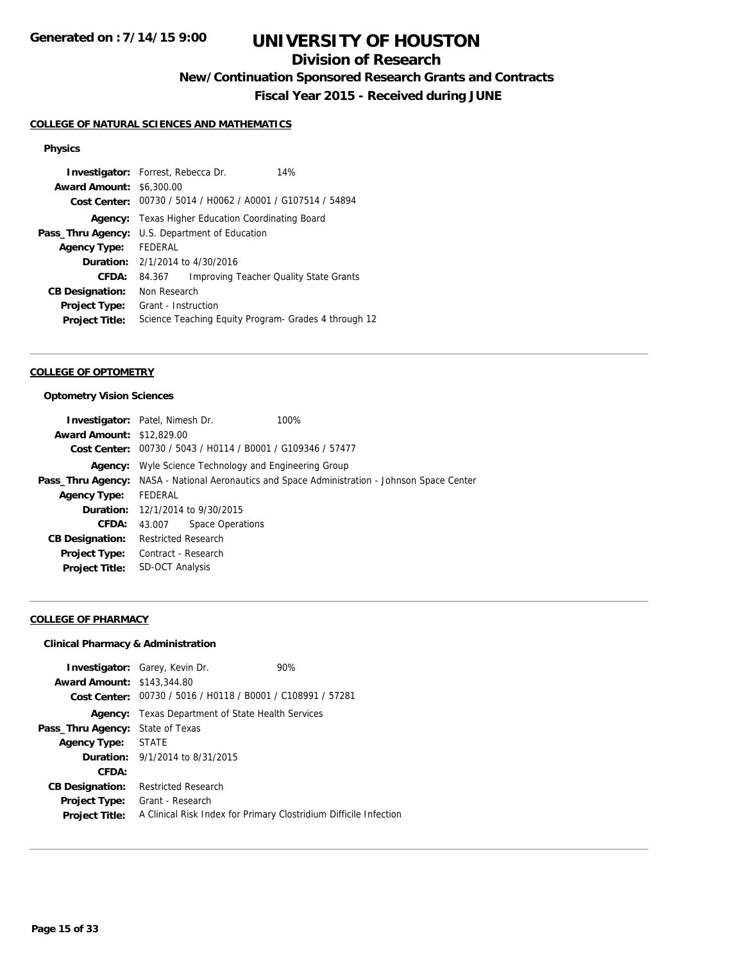# **Division of Research**

**New/Continuation Sponsored Research Grants and Contracts**

**Fiscal Year 2015 - Received during JUNE**

#### **COLLEGE OF NATURAL SCIENCES AND MATHEMATICS**

### **Physics**

|                                 | <b>Investigator:</b> Forrest, Rebecca Dr.<br>14%      |  |                                                             |
|---------------------------------|-------------------------------------------------------|--|-------------------------------------------------------------|
| <b>Award Amount: \$6,300.00</b> |                                                       |  |                                                             |
|                                 |                                                       |  | Cost Center: 00730 / 5014 / H0062 / A0001 / G107514 / 54894 |
| Agency:                         | Texas Higher Education Coordinating Board             |  |                                                             |
|                                 | <b>Pass_Thru Agency:</b> U.S. Department of Education |  |                                                             |
| <b>Agency Type:</b>             | FEDERAL                                               |  |                                                             |
|                                 | <b>Duration:</b> $2/1/2014$ to $4/30/2016$            |  |                                                             |
| CFDA:                           | 84.367                                                |  | <b>Improving Teacher Quality State Grants</b>               |
| <b>CB Designation:</b>          | Non Research                                          |  |                                                             |
| <b>Project Type:</b>            | Grant - Instruction                                   |  |                                                             |
| <b>Project Title:</b>           | Science Teaching Equity Program- Grades 4 through 12  |  |                                                             |

#### **COLLEGE OF OPTOMETRY**

### **Optometry Vision Sciences**

|                                  | <b>Investigator:</b> Patel, Nimesh Dr.<br>100%                                                       |
|----------------------------------|------------------------------------------------------------------------------------------------------|
| <b>Award Amount: \$12,829.00</b> |                                                                                                      |
|                                  | Cost Center: 00730 / 5043 / H0114 / B0001 / G109346 / 57477                                          |
| Agency:                          | Wyle Science Technology and Engineering Group                                                        |
|                                  | <b>Pass_Thru Agency:</b> NASA - National Aeronautics and Space Administration - Johnson Space Center |
| <b>Agency Type:</b>              | <b>FEDERAL</b>                                                                                       |
|                                  | <b>Duration:</b> 12/1/2014 to 9/30/2015                                                              |
| CFDA:                            | Space Operations<br>43.007                                                                           |
| <b>CB Designation:</b>           | <b>Restricted Research</b>                                                                           |
|                                  | <b>Project Type:</b> Contract - Research                                                             |
| <b>Project Title:</b>            | <b>SD-OCT Analysis</b>                                                                               |

## **COLLEGE OF PHARMACY**

#### **Clinical Pharmacy & Administration**

| <b>Award Amount: \$143,344.80</b>             | <b>Investigator:</b> Garey, Kevin Dr.<br>Cost Center: 00730 / 5016 / H0118 / B0001 / C108991 / 57281 | 90% |
|-----------------------------------------------|------------------------------------------------------------------------------------------------------|-----|
| Agency:                                       | Texas Department of State Health Services                                                            |     |
| <b>Pass_Thru Agency:</b> State of Texas       |                                                                                                      |     |
| Agency Type: STATE                            |                                                                                                      |     |
|                                               | <b>Duration:</b> 9/1/2014 to 8/31/2015                                                               |     |
| CFDA:                                         |                                                                                                      |     |
| <b>CB Designation:</b>                        | <b>Restricted Research</b>                                                                           |     |
| <b>Project Type:</b><br><b>Project Title:</b> | Grant - Research<br>A Clinical Risk Index for Primary Clostridium Difficile Infection                |     |
|                                               |                                                                                                      |     |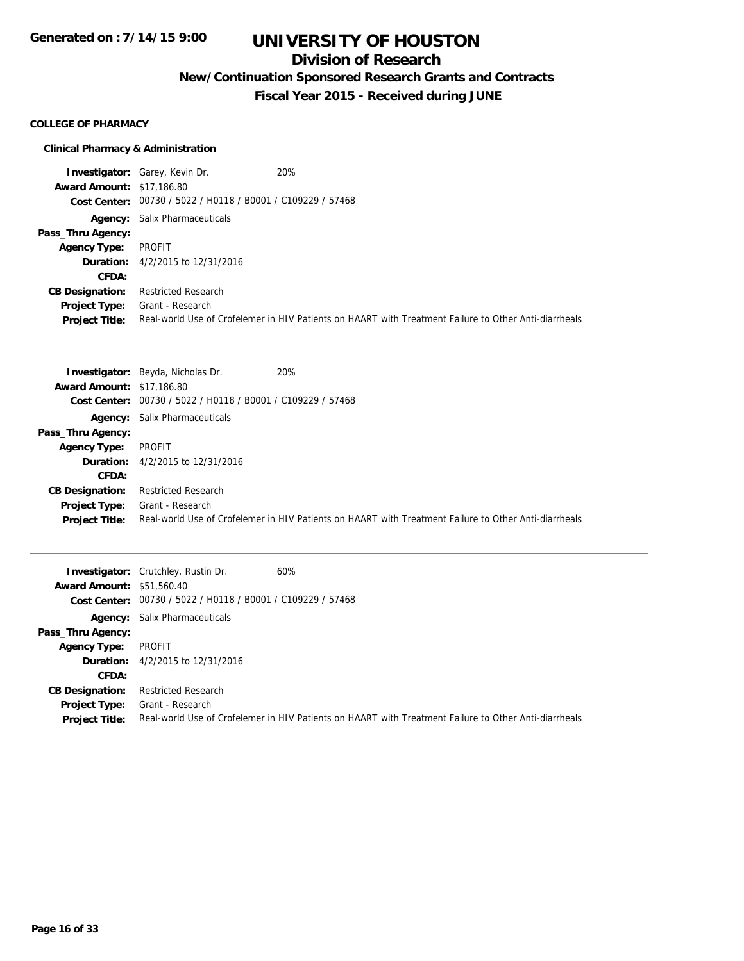# **Division of Research**

**New/Continuation Sponsored Research Grants and Contracts**

**Fiscal Year 2015 - Received during JUNE**

### **COLLEGE OF PHARMACY**

## **Clinical Pharmacy & Administration**

|                                  | <b>Investigator:</b> Garey, Kevin Dr.                       | 20%                                                                                                   |
|----------------------------------|-------------------------------------------------------------|-------------------------------------------------------------------------------------------------------|
| <b>Award Amount: \$17,186.80</b> |                                                             |                                                                                                       |
|                                  | Cost Center: 00730 / 5022 / H0118 / B0001 / C109229 / 57468 |                                                                                                       |
|                                  | <b>Agency:</b> Salix Pharmaceuticals                        |                                                                                                       |
| Pass_Thru Agency:                |                                                             |                                                                                                       |
| Agency Type:                     | PROFIT                                                      |                                                                                                       |
| Duration:                        | 4/2/2015 to 12/31/2016                                      |                                                                                                       |
| CFDA:                            |                                                             |                                                                                                       |
| <b>CB Designation:</b>           | <b>Restricted Research</b>                                  |                                                                                                       |
| Project Type:                    | Grant - Research                                            |                                                                                                       |
| <b>Project Title:</b>            |                                                             | Real-world Use of Crofelemer in HIV Patients on HAART with Treatment Failure to Other Anti-diarrheals |

|                                  | 20%<br><b>Investigator:</b> Beyda, Nicholas Dr.                                                       |
|----------------------------------|-------------------------------------------------------------------------------------------------------|
| <b>Award Amount: \$17,186.80</b> |                                                                                                       |
| Cost Center:                     | 00730 / 5022 / H0118 / B0001 / C109229 / 57468                                                        |
|                                  | <b>Agency:</b> Salix Pharmaceuticals                                                                  |
| Pass_Thru Agency:                |                                                                                                       |
| <b>Agency Type:</b>              | PROFIT                                                                                                |
|                                  | <b>Duration:</b> 4/2/2015 to 12/31/2016                                                               |
| CFDA:                            |                                                                                                       |
| <b>CB Designation:</b>           | <b>Restricted Research</b>                                                                            |
| Project Type:                    | Grant - Research                                                                                      |
| <b>Project Title:</b>            | Real-world Use of Crofelemer in HIV Patients on HAART with Treatment Failure to Other Anti-diarrheals |

| <b>Award Amount: \$51,560.40</b>                               | <b>Investigator:</b> Crutchley, Rustin Dr.<br>Cost Center: 00730 / 5022 / H0118 / B0001 / C109229 / 57468 | 60%                                                                                                   |
|----------------------------------------------------------------|-----------------------------------------------------------------------------------------------------------|-------------------------------------------------------------------------------------------------------|
| Pass_Thru Agency:                                              | <b>Agency:</b> Salix Pharmaceuticals                                                                      |                                                                                                       |
| <b>Agency Type:</b>                                            | PROFIT<br><b>Duration:</b> 4/2/2015 to 12/31/2016                                                         |                                                                                                       |
| <b>CFDA:</b><br><b>CB Designation:</b><br><b>Project Type:</b> | <b>Restricted Research</b><br>Grant - Research                                                            |                                                                                                       |
| <b>Project Title:</b>                                          |                                                                                                           | Real-world Use of Crofelemer in HIV Patients on HAART with Treatment Failure to Other Anti-diarrheals |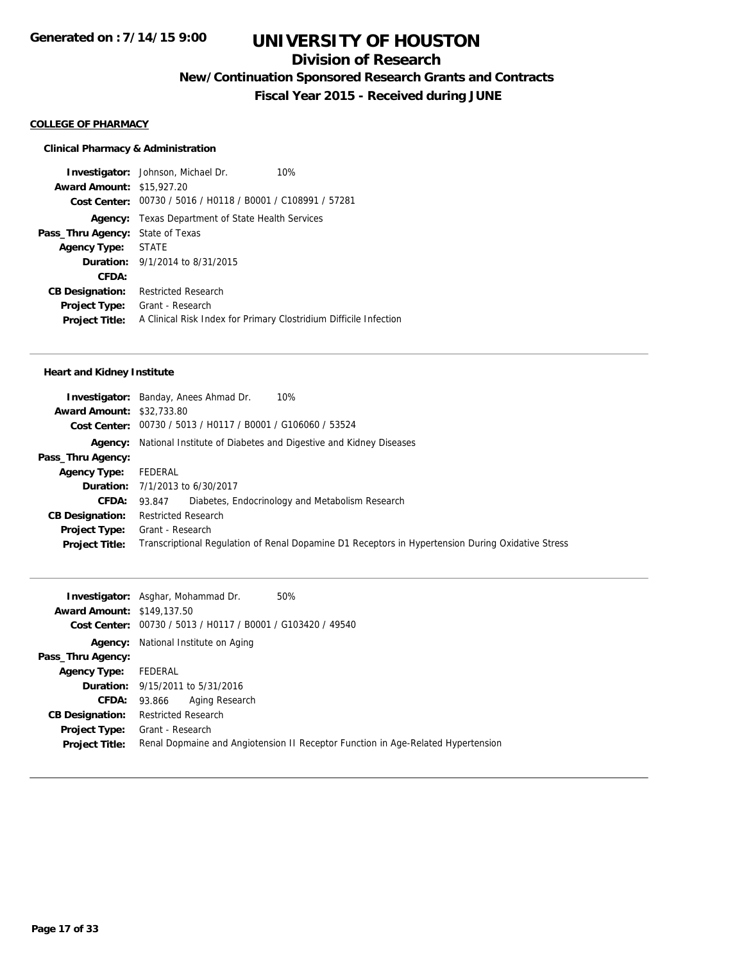# **Division of Research**

**New/Continuation Sponsored Research Grants and Contracts**

**Fiscal Year 2015 - Received during JUNE**

#### **COLLEGE OF PHARMACY**

#### **Clinical Pharmacy & Administration**

**Investigator:** Johnson, Michael Dr. 10% **Award Amount:** \$15,927.20 **Cost Center:** 00730 / 5016 / H0118 / B0001 / C108991 / 57281 **Agency:** Texas Department of State Health Services **Pass\_Thru Agency:** State of Texas **Agency Type:** STATE **Duration:** 9/1/2014 to 8/31/2015 **CFDA: CB Designation:** Restricted Research **Project Type:** Grant - Research **Project Title:** A Clinical Risk Index for Primary Clostridium Difficile Infection

#### **Heart and Kidney Institute**

|                                  | 10%<br><b>Investigator:</b> Banday, Anees Ahmad Dr.                                               |
|----------------------------------|---------------------------------------------------------------------------------------------------|
| <b>Award Amount: \$32,733.80</b> |                                                                                                   |
|                                  | Cost Center: 00730 / 5013 / H0117 / B0001 / G106060 / 53524                                       |
|                                  | <b>Agency:</b> National Institute of Diabetes and Digestive and Kidney Diseases                   |
| Pass_Thru Agency:                |                                                                                                   |
| <b>Agency Type:</b>              | FEDERAL                                                                                           |
|                                  | <b>Duration:</b> 7/1/2013 to 6/30/2017                                                            |
| <b>CFDA:</b>                     | Diabetes, Endocrinology and Metabolism Research<br>93.847                                         |
| <b>CB Designation:</b>           | <b>Restricted Research</b>                                                                        |
| Project Type:                    | Grant - Research                                                                                  |
| <b>Project Title:</b>            | Transcriptional Regulation of Renal Dopamine D1 Receptors in Hypertension During Oxidative Stress |
|                                  |                                                                                                   |

| <b>Award Amount: \$149,137.50</b> | <b>Investigator:</b> Asghar, Mohammad Dr.<br>50%<br>Cost Center: 00730 / 5013 / H0117 / B0001 / G103420 / 49540 |
|-----------------------------------|-----------------------------------------------------------------------------------------------------------------|
|                                   | <b>Agency:</b> National Institute on Aging                                                                      |
| Pass_Thru Agency:                 |                                                                                                                 |
| <b>Agency Type:</b>               | FEDERAL                                                                                                         |
|                                   | <b>Duration:</b> 9/15/2011 to 5/31/2016                                                                         |
| <b>CFDA:</b>                      | Aging Research<br>93.866                                                                                        |
| <b>CB Designation:</b>            | <b>Restricted Research</b>                                                                                      |
| <b>Project Type:</b>              | Grant - Research                                                                                                |
| <b>Project Title:</b>             | Renal Dopmaine and Angiotension II Receptor Function in Age-Related Hypertension                                |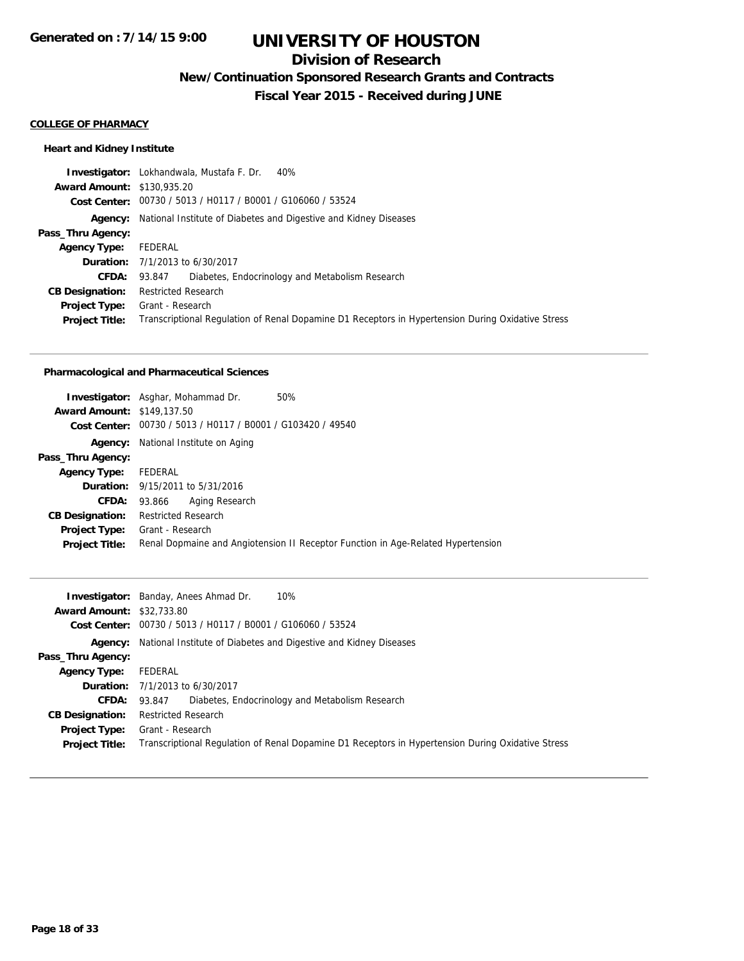# **Division of Research**

**New/Continuation Sponsored Research Grants and Contracts**

**Fiscal Year 2015 - Received during JUNE**

#### **COLLEGE OF PHARMACY**

## **Heart and Kidney Institute**

|                                   | <b>Investigator:</b> Lokhandwala, Mustafa F. Dr. 40%                                              |
|-----------------------------------|---------------------------------------------------------------------------------------------------|
| <b>Award Amount: \$130,935.20</b> |                                                                                                   |
|                                   | Cost Center: 00730 / 5013 / H0117 / B0001 / G106060 / 53524                                       |
|                                   | <b>Agency:</b> National Institute of Diabetes and Digestive and Kidney Diseases                   |
| Pass_Thru Agency:                 |                                                                                                   |
| <b>Agency Type:</b>               | FEDERAL                                                                                           |
|                                   | <b>Duration:</b> 7/1/2013 to 6/30/2017                                                            |
| <b>CFDA:</b>                      | Diabetes, Endocrinology and Metabolism Research<br>93.847                                         |
| <b>CB Designation:</b>            | Restricted Research                                                                               |
| <b>Project Type:</b>              | Grant - Research                                                                                  |
| <b>Project Title:</b>             | Transcriptional Regulation of Renal Dopamine D1 Receptors in Hypertension During Oxidative Stress |
|                                   |                                                                                                   |

#### **Pharmacological and Pharmaceutical Sciences**

| <b>Investigator:</b> Asghar, Mohammad Dr.<br>50%<br><b>Award Amount: \$149,137.50</b>                |
|------------------------------------------------------------------------------------------------------|
| Cost Center: 00730 / 5013 / H0117 / B0001 / G103420 / 49540                                          |
| National Institute on Aging                                                                          |
|                                                                                                      |
| Agency Type: FEDERAL                                                                                 |
| <b>Duration:</b> 9/15/2011 to 5/31/2016                                                              |
| Aging Research<br><b>CFDA: 93.866</b>                                                                |
| <b>Restricted Research</b>                                                                           |
| Grant - Research<br>Renal Dopmaine and Angiotension II Receptor Function in Age-Related Hypertension |
|                                                                                                      |

|                                  | <b>Investigator:</b> Banday, Anees Ahmad Dr.<br>10%                                               |
|----------------------------------|---------------------------------------------------------------------------------------------------|
| <b>Award Amount: \$32,733.80</b> |                                                                                                   |
|                                  | Cost Center: 00730 / 5013 / H0117 / B0001 / G106060 / 53524                                       |
|                                  | <b>Agency:</b> National Institute of Diabetes and Digestive and Kidney Diseases                   |
| Pass_Thru Agency:                |                                                                                                   |
| Agency Type:                     | FEDERAL                                                                                           |
|                                  | <b>Duration:</b> 7/1/2013 to 6/30/2017                                                            |
| <b>CFDA:</b>                     | 93.847 Diabetes, Endocrinology and Metabolism Research                                            |
| <b>CB Designation:</b>           | <b>Restricted Research</b>                                                                        |
| <b>Project Type:</b>             | Grant - Research                                                                                  |
| <b>Project Title:</b>            | Transcriptional Regulation of Renal Dopamine D1 Receptors in Hypertension During Oxidative Stress |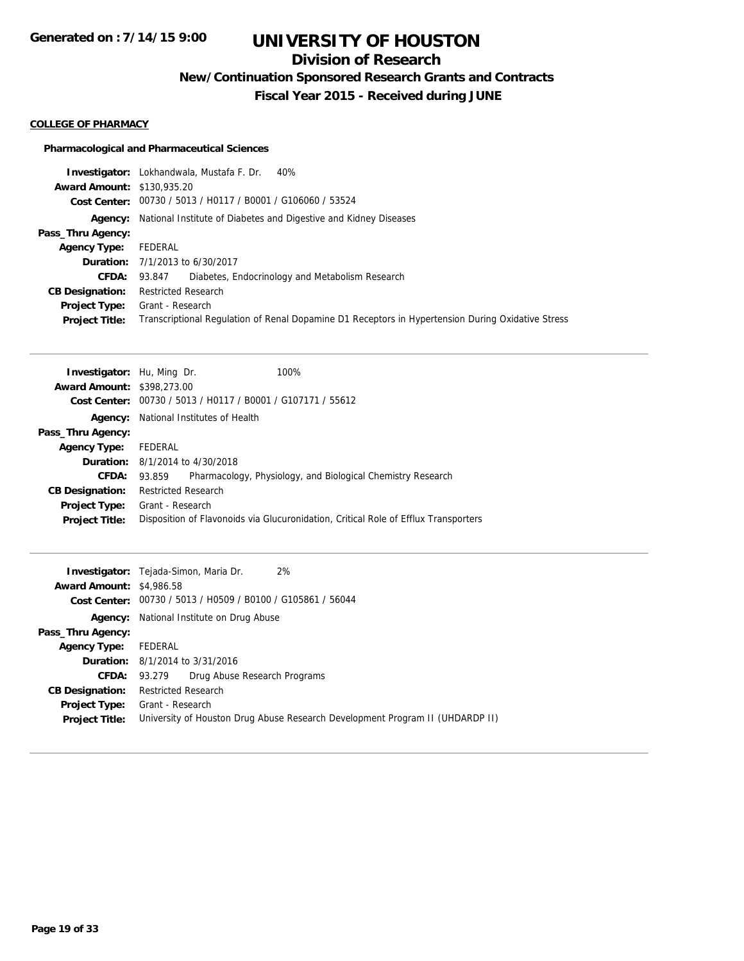# **Division of Research**

**New/Continuation Sponsored Research Grants and Contracts**

**Fiscal Year 2015 - Received during JUNE**

### **COLLEGE OF PHARMACY**

## **Pharmacological and Pharmaceutical Sciences**

|                                   | <b>Investigator:</b> Lokhandwala, Mustafa F. Dr. 40%                                              |
|-----------------------------------|---------------------------------------------------------------------------------------------------|
| <b>Award Amount: \$130,935.20</b> |                                                                                                   |
|                                   | Cost Center: 00730 / 5013 / H0117 / B0001 / G106060 / 53524                                       |
|                                   | <b>Agency:</b> National Institute of Diabetes and Digestive and Kidney Diseases                   |
| Pass_Thru Agency:                 |                                                                                                   |
| <b>Agency Type:</b>               | FEDERAL                                                                                           |
|                                   | <b>Duration:</b> 7/1/2013 to 6/30/2017                                                            |
| <b>CFDA:</b>                      | Diabetes, Endocrinology and Metabolism Research<br>93.847                                         |
| <b>CB Designation:</b>            | Restricted Research                                                                               |
| Project Type:                     | Grant - Research                                                                                  |
| <b>Project Title:</b>             | Transcriptional Regulation of Renal Dopamine D1 Receptors in Hypertension During Oxidative Stress |

| <b>Award Amount: \$398,273.00</b>                                                                            |  |  |  |
|--------------------------------------------------------------------------------------------------------------|--|--|--|
| Cost Center: 00730 / 5013 / H0117 / B0001 / G107171 / 55612                                                  |  |  |  |
| National Institutes of Health<br>Agency:                                                                     |  |  |  |
| Pass_Thru Agency:                                                                                            |  |  |  |
| FEDERAL<br><b>Agency Type:</b>                                                                               |  |  |  |
| <b>Duration:</b> $8/1/2014$ to $4/30/2018$                                                                   |  |  |  |
| Pharmacology, Physiology, and Biological Chemistry Research<br>CFDA:<br>93.859                               |  |  |  |
| <b>Restricted Research</b><br><b>CB Designation:</b>                                                         |  |  |  |
| Grant - Research<br>Project Type:                                                                            |  |  |  |
| Disposition of Flavonoids via Glucuronidation, Critical Role of Efflux Transporters<br><b>Project Title:</b> |  |  |  |

|                                 | 2%<br><b>Investigator:</b> Tejada-Simon, Maria Dr.                            |
|---------------------------------|-------------------------------------------------------------------------------|
| <b>Award Amount: \$4,986.58</b> |                                                                               |
|                                 | Cost Center: 00730 / 5013 / H0509 / B0100 / G105861 / 56044                   |
|                                 | <b>Agency:</b> National Institute on Drug Abuse                               |
| Pass_Thru Agency:               |                                                                               |
| <b>Agency Type:</b>             | FEDERAL                                                                       |
|                                 | <b>Duration:</b> 8/1/2014 to 3/31/2016                                        |
| <b>CFDA:</b>                    | 93.279 Drug Abuse Research Programs                                           |
| <b>CB Designation:</b>          | Restricted Research                                                           |
| Project Type:                   | Grant - Research                                                              |
| <b>Project Title:</b>           | University of Houston Drug Abuse Research Development Program II (UHDARDP II) |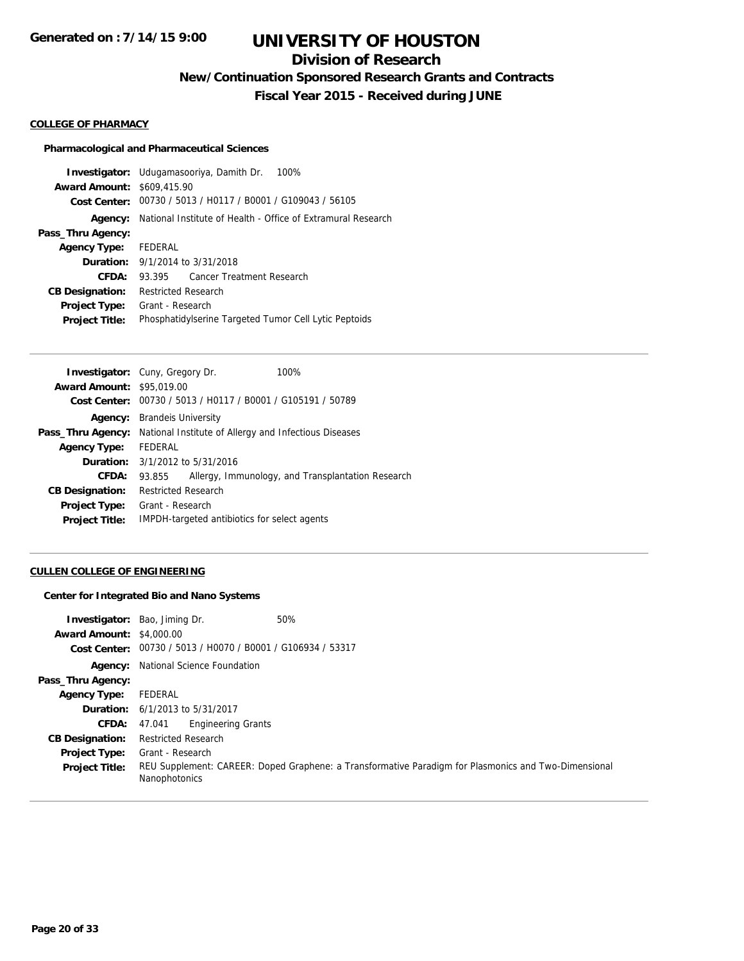# **Division of Research**

**New/Continuation Sponsored Research Grants and Contracts**

**Fiscal Year 2015 - Received during JUNE**

#### **COLLEGE OF PHARMACY**

### **Pharmacological and Pharmaceutical Sciences**

| <b>Award Amount: \$609,415.90</b><br>Cost Center: 00730 / 5013 / H0117 / B0001 / G109043 / 56105<br>National Institute of Health - Office of Extramural Research<br>Agency:<br>Pass_Thru Agency:<br>Agency Type: FEDERAL<br><b>Duration:</b> 9/1/2014 to 3/31/2018<br>CFDA:<br>Cancer Treatment Research<br>93.395<br><b>Restricted Research</b><br><b>CB Designation:</b><br>Grant - Research<br><b>Project Type:</b><br>Phosphatidylserine Targeted Tumor Cell Lytic Peptoids<br><b>Project Title:</b> | <b>Investigator:</b> Udugamasooriya, Damith Dr. 100% |
|----------------------------------------------------------------------------------------------------------------------------------------------------------------------------------------------------------------------------------------------------------------------------------------------------------------------------------------------------------------------------------------------------------------------------------------------------------------------------------------------------------|------------------------------------------------------|
|                                                                                                                                                                                                                                                                                                                                                                                                                                                                                                          |                                                      |
|                                                                                                                                                                                                                                                                                                                                                                                                                                                                                                          |                                                      |
|                                                                                                                                                                                                                                                                                                                                                                                                                                                                                                          |                                                      |
|                                                                                                                                                                                                                                                                                                                                                                                                                                                                                                          |                                                      |
|                                                                                                                                                                                                                                                                                                                                                                                                                                                                                                          |                                                      |
|                                                                                                                                                                                                                                                                                                                                                                                                                                                                                                          |                                                      |
|                                                                                                                                                                                                                                                                                                                                                                                                                                                                                                          |                                                      |
|                                                                                                                                                                                                                                                                                                                                                                                                                                                                                                          |                                                      |
|                                                                                                                                                                                                                                                                                                                                                                                                                                                                                                          |                                                      |
|                                                                                                                                                                                                                                                                                                                                                                                                                                                                                                          |                                                      |

|                                  | <b>Investigator:</b> Cuny, Gregory Dr.                | 100%                                              |
|----------------------------------|-------------------------------------------------------|---------------------------------------------------|
| <b>Award Amount: \$95,019.00</b> |                                                       |                                                   |
| <b>Cost Center:</b>              | 00730 / 5013 / H0117 / B0001 / G105191 / 50789        |                                                   |
| Agency:                          | <b>Brandels University</b>                            |                                                   |
| Pass_Thru Agency:                | National Institute of Allergy and Infectious Diseases |                                                   |
| <b>Agency Type:</b>              | FEDERAL                                               |                                                   |
| Duration:                        | 3/1/2012 to 5/31/2016                                 |                                                   |
| CFDA:                            | 93.855                                                | Allergy, Immunology, and Transplantation Research |
| <b>CB Designation:</b>           | <b>Restricted Research</b>                            |                                                   |
| <b>Project Type:</b>             | Grant - Research                                      |                                                   |
| <b>Project Title:</b>            | IMPDH-targeted antibiotics for select agents          |                                                   |
|                                  |                                                       |                                                   |

## **CULLEN COLLEGE OF ENGINEERING**

#### **Center for Integrated Bio and Nano Systems**

| <b>Award Amount: \$4,000.00</b> | <b>Investigator:</b> Bao, Jiming Dr.<br>50%                                                                           |
|---------------------------------|-----------------------------------------------------------------------------------------------------------------------|
|                                 | Cost Center: 00730 / 5013 / H0070 / B0001 / G106934 / 53317                                                           |
|                                 | <b>Agency:</b> National Science Foundation                                                                            |
| Pass_Thru Agency:               |                                                                                                                       |
| <b>Agency Type:</b>             | FEDERAL                                                                                                               |
|                                 | <b>Duration:</b> 6/1/2013 to 5/31/2017                                                                                |
| <b>CFDA:</b>                    | <b>Engineering Grants</b><br>47.041                                                                                   |
| <b>CB Designation:</b>          | <b>Restricted Research</b>                                                                                            |
| <b>Project Type:</b>            | Grant - Research                                                                                                      |
| <b>Project Title:</b>           | REU Supplement: CAREER: Doped Graphene: a Transformative Paradigm for Plasmonics and Two-Dimensional<br>Nanophotonics |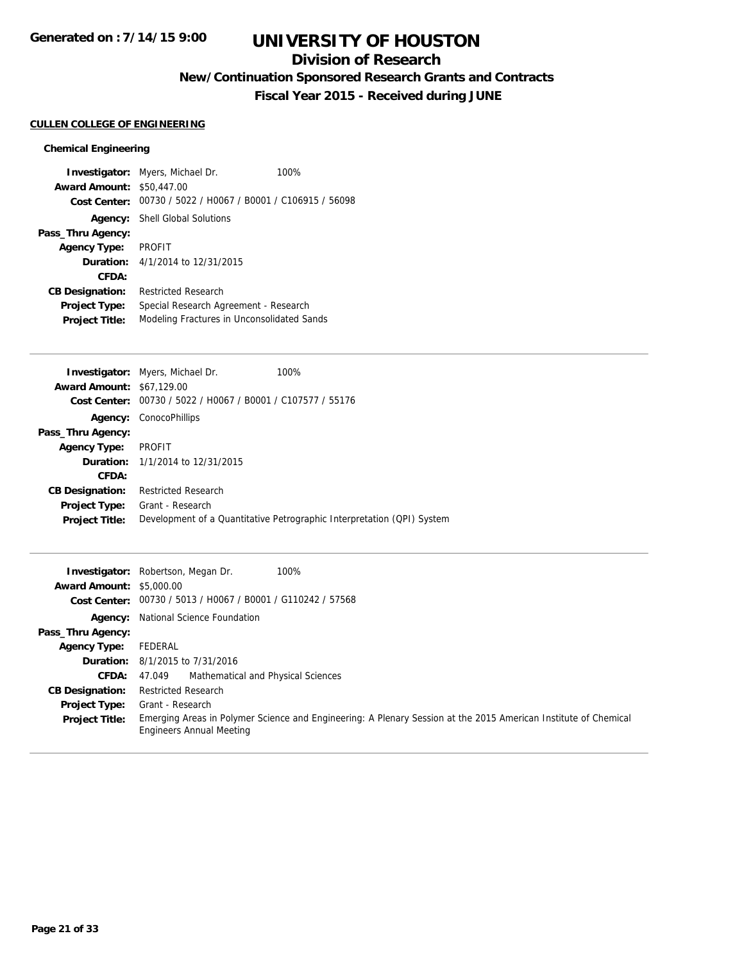# **Division of Research**

**New/Continuation Sponsored Research Grants and Contracts**

**Fiscal Year 2015 - Received during JUNE**

## **CULLEN COLLEGE OF ENGINEERING**

## **Chemical Engineering**

|                        | <b>Investigator:</b> Myers, Michael Dr.        | 100% |
|------------------------|------------------------------------------------|------|
| <b>Award Amount:</b>   | \$50,447.00                                    |      |
| Cost Center:           | 00730 / 5022 / H0067 / B0001 / C106915 / 56098 |      |
| Agency:                | <b>Shell Global Solutions</b>                  |      |
| Pass_Thru Agency:      |                                                |      |
| <b>Agency Type:</b>    | <b>PROFIT</b>                                  |      |
|                        | <b>Duration:</b> 4/1/2014 to 12/31/2015        |      |
| CFDA:                  |                                                |      |
| <b>CB Designation:</b> | <b>Restricted Research</b>                     |      |
| <b>Project Type:</b>   | Special Research Agreement - Research          |      |
| <b>Project Title:</b>  | Modeling Fractures in Unconsolidated Sands     |      |

|                                  | <b>Investigator:</b> Myers, Michael Dr.        | 100%                                                                   |
|----------------------------------|------------------------------------------------|------------------------------------------------------------------------|
| <b>Award Amount: \$67,129.00</b> |                                                |                                                                        |
| Cost Center:                     | 00730 / 5022 / H0067 / B0001 / C107577 / 55176 |                                                                        |
| Agency:                          | ConocoPhillips                                 |                                                                        |
| Pass_Thru Agency:                |                                                |                                                                        |
| <b>Agency Type:</b>              | PROFIT                                         |                                                                        |
|                                  | <b>Duration:</b> 1/1/2014 to 12/31/2015        |                                                                        |
| CFDA:                            |                                                |                                                                        |
| <b>CB Designation:</b>           | <b>Restricted Research</b>                     |                                                                        |
| <b>Project Type:</b>             | Grant - Research                               |                                                                        |
| <b>Project Title:</b>            |                                                | Development of a Quantitative Petrographic Interpretation (QPI) System |
|                                  |                                                |                                                                        |

| <b>Award Amount: \$5,000.00</b> | 100%<br><b>Investigator:</b> Robertson, Megan Dr.                                                                                           |
|---------------------------------|---------------------------------------------------------------------------------------------------------------------------------------------|
|                                 |                                                                                                                                             |
|                                 | Cost Center: 00730 / 5013 / H0067 / B0001 / G110242 / 57568                                                                                 |
|                                 | Agency: National Science Foundation                                                                                                         |
| Pass_Thru Agency:               |                                                                                                                                             |
| <b>Agency Type:</b>             | FEDERAL                                                                                                                                     |
|                                 | <b>Duration:</b> 8/1/2015 to 7/31/2016                                                                                                      |
| CFDA:                           | Mathematical and Physical Sciences<br>47.049                                                                                                |
| <b>CB Designation:</b>          | <b>Restricted Research</b>                                                                                                                  |
| <b>Project Type:</b>            | Grant - Research                                                                                                                            |
| <b>Project Title:</b>           | Emerging Areas in Polymer Science and Engineering: A Plenary Session at the 2015 American Institute of Chemical<br>Engineers Annual Meeting |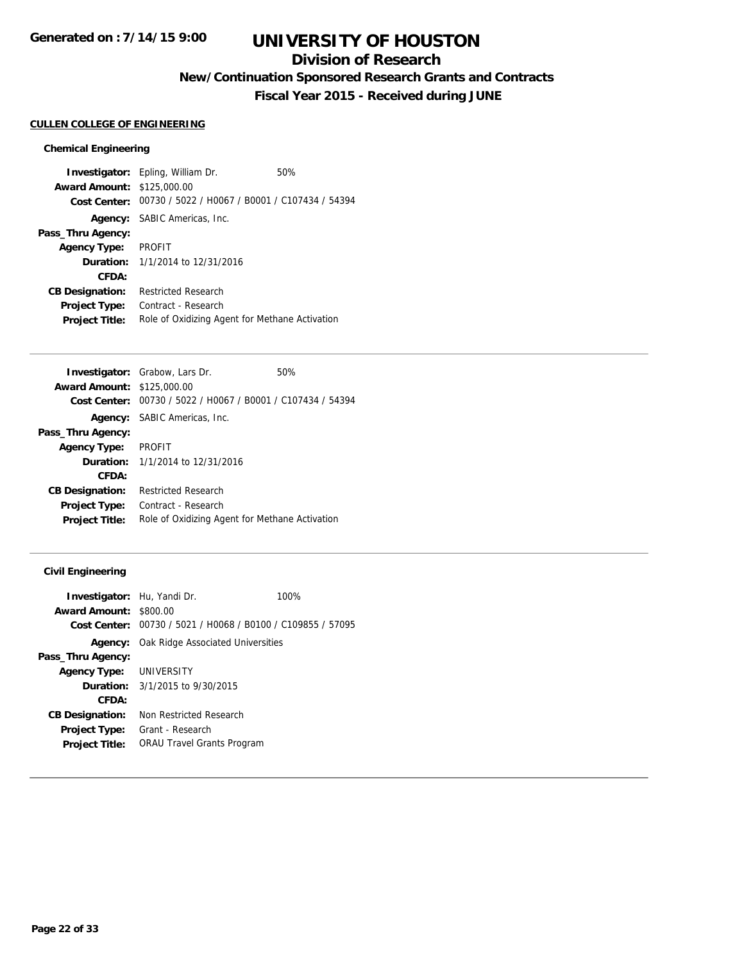# **Division of Research**

**New/Continuation Sponsored Research Grants and Contracts**

**Fiscal Year 2015 - Received during JUNE**

#### **CULLEN COLLEGE OF ENGINEERING**

#### **Chemical Engineering**

**Investigator:** Epling, William Dr. 50% **Award Amount:** \$125,000.00 **Cost Center:** 00730 / 5022 / H0067 / B0001 / C107434 / 54394 **Agency:** SABIC Americas, Inc. **Pass\_Thru Agency: Agency Type:** PROFIT **Duration:** 1/1/2014 to 12/31/2016 **CFDA: CB Designation:** Restricted Research **Project Type:** Contract - Research Project Title: Role of Oxidizing Agent for Methane Activation

|                                   | <b>Investigator:</b> Grabow, Lars Dr.          | 50% |
|-----------------------------------|------------------------------------------------|-----|
| <b>Award Amount: \$125,000.00</b> |                                                |     |
| <b>Cost Center:</b>               | 00730 / 5022 / H0067 / B0001 / C107434 / 54394 |     |
|                                   | <b>Agency:</b> SABIC Americas, Inc.            |     |
| Pass_Thru Agency:                 |                                                |     |
| <b>Agency Type:</b>               | <b>PROFIT</b>                                  |     |
|                                   | <b>Duration:</b> 1/1/2014 to 12/31/2016        |     |
| CFDA:                             |                                                |     |
| <b>CB Designation:</b>            | Restricted Research                            |     |
| <b>Project Type:</b>              | Contract - Research                            |     |
| <b>Project Title:</b>             | Role of Oxidizing Agent for Methane Activation |     |
|                                   |                                                |     |

#### **Civil Engineering**

| <b>Investigator:</b> Hu, Yandi Dr.                          | 100% |
|-------------------------------------------------------------|------|
| <b>Award Amount: \$800.00</b>                               |      |
| Cost Center: 00730 / 5021 / H0068 / B0100 / C109855 / 57095 |      |
| <b>Agency:</b> Oak Ridge Associated Universities            |      |
|                                                             |      |
| Agency Type: UNIVERSITY                                     |      |
| <b>Duration:</b> 3/1/2015 to 9/30/2015                      |      |
|                                                             |      |
| Non Restricted Research                                     |      |
| Grant - Research                                            |      |
| <b>ORAU Travel Grants Program</b>                           |      |
|                                                             |      |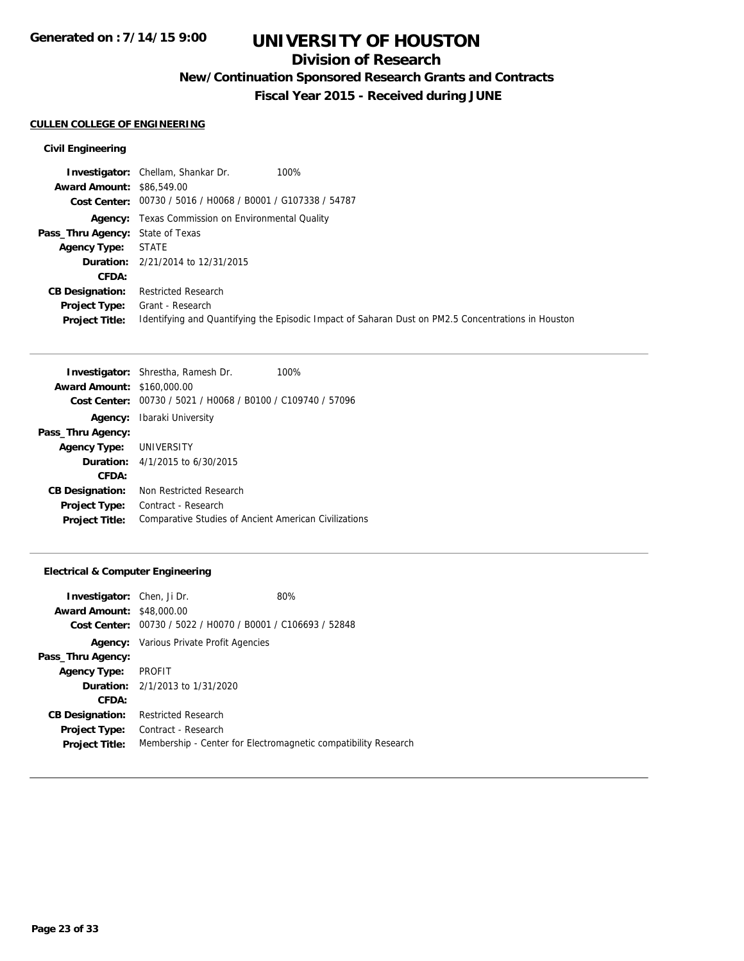# **Division of Research**

**New/Continuation Sponsored Research Grants and Contracts**

**Fiscal Year 2015 - Received during JUNE**

## **CULLEN COLLEGE OF ENGINEERING**

## **Civil Engineering**

|                                               | <b>Investigator:</b> Chellam, Shankar Dr.<br>100%                                                                      |
|-----------------------------------------------|------------------------------------------------------------------------------------------------------------------------|
| <b>Award Amount: \$86,549.00</b>              |                                                                                                                        |
|                                               | Cost Center: 00730 / 5016 / H0068 / B0001 / G107338 / 54787                                                            |
|                                               | <b>Agency:</b> Texas Commission on Environmental Quality                                                               |
| <b>Pass_Thru Agency:</b> State of Texas       |                                                                                                                        |
| <b>Agency Type:</b>                           | <b>STATE</b>                                                                                                           |
|                                               | <b>Duration:</b> 2/21/2014 to 12/31/2015                                                                               |
| CFDA:                                         |                                                                                                                        |
| <b>CB Designation:</b>                        | Restricted Research                                                                                                    |
| <b>Project Type:</b><br><b>Project Title:</b> | Grant - Research<br>Identifying and Quantifying the Episodic Impact of Saharan Dust on PM2.5 Concentrations in Houston |
|                                               |                                                                                                                        |

|                                   | <b>Investigator:</b> Shrestha, Ramesh Dr.<br>100%           |
|-----------------------------------|-------------------------------------------------------------|
| <b>Award Amount: \$160,000.00</b> |                                                             |
|                                   | Cost Center: 00730 / 5021 / H0068 / B0100 / C109740 / 57096 |
|                                   | <b>Agency:</b> Ibaraki University                           |
| Pass_Thru Agency:                 |                                                             |
| Agency Type: UNIVERSITY           |                                                             |
|                                   | <b>Duration:</b> $4/1/2015$ to $6/30/2015$                  |
| CFDA:                             |                                                             |
| <b>CB Designation:</b>            | Non Restricted Research                                     |
| <b>Project Type:</b>              | Contract - Research                                         |
| <b>Project Title:</b>             | Comparative Studies of Ancient American Civilizations       |

|                                                             | 80%                                                            |
|-------------------------------------------------------------|----------------------------------------------------------------|
| <b>Award Amount: \$48,000.00</b>                            |                                                                |
| Cost Center: 00730 / 5022 / H0070 / B0001 / C106693 / 52848 |                                                                |
| <b>Agency:</b> Various Private Profit Agencies              |                                                                |
|                                                             |                                                                |
| PROFIT                                                      |                                                                |
| <b>Duration:</b> 2/1/2013 to 1/31/2020                      |                                                                |
|                                                             |                                                                |
| <b>Restricted Research</b>                                  |                                                                |
| Contract - Research                                         |                                                                |
|                                                             | Membership - Center for Electromagnetic compatibility Research |
|                                                             | <b>Investigator:</b> Chen, Ji Dr.                              |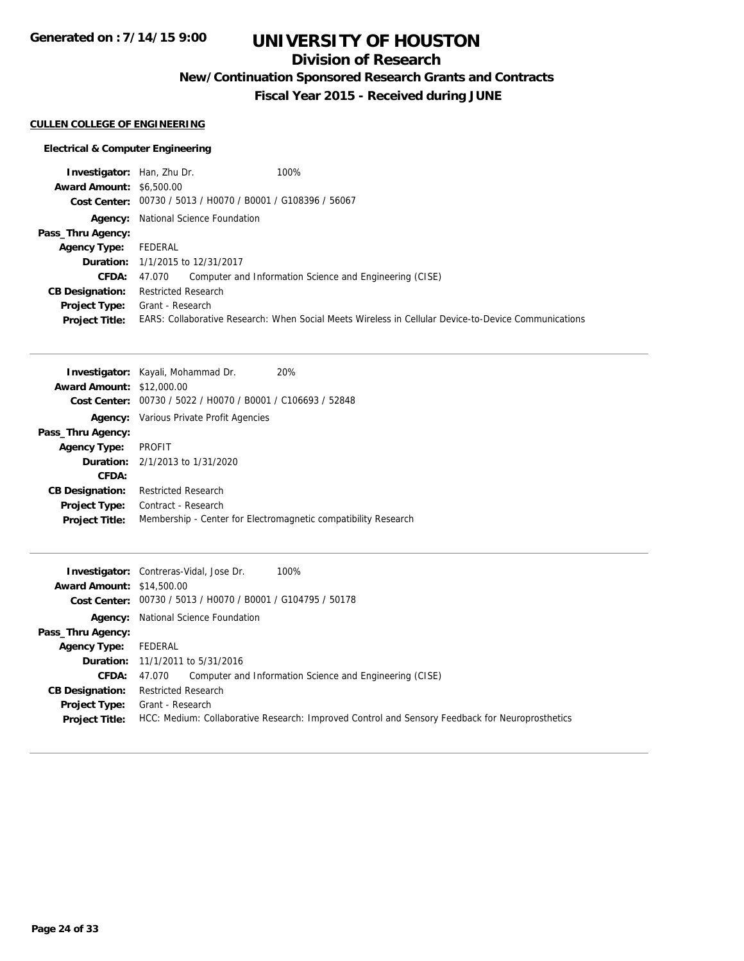**Generated on : 7/14/15 9:00**

# **UNIVERSITY OF HOUSTON**

# **Division of Research**

**New/Continuation Sponsored Research Grants and Contracts**

**Fiscal Year 2015 - Received during JUNE**

### **CULLEN COLLEGE OF ENGINEERING**

| <b>Investigator:</b> Han, Zhu Dr. | 100%                                                                                                 |  |
|-----------------------------------|------------------------------------------------------------------------------------------------------|--|
| <b>Award Amount: \$6,500.00</b>   |                                                                                                      |  |
|                                   | Cost Center: 00730 / 5013 / H0070 / B0001 / G108396 / 56067                                          |  |
|                                   | <b>Agency:</b> National Science Foundation                                                           |  |
| Pass_Thru Agency:                 |                                                                                                      |  |
| <b>Agency Type:</b>               | FEDERAL                                                                                              |  |
|                                   | <b>Duration:</b> 1/1/2015 to 12/31/2017                                                              |  |
| <b>CFDA:</b>                      | Computer and Information Science and Engineering (CISE)<br>47.070                                    |  |
| <b>CB Designation:</b>            | <b>Restricted Research</b>                                                                           |  |
| <b>Project Type:</b>              | Grant - Research                                                                                     |  |
| <b>Project Title:</b>             | EARS: Collaborative Research: When Social Meets Wireless in Cellular Device-to-Device Communications |  |

|                                                             | 20%                                                                                                                                                                       |
|-------------------------------------------------------------|---------------------------------------------------------------------------------------------------------------------------------------------------------------------------|
|                                                             |                                                                                                                                                                           |
| Cost Center: 00730 / 5022 / H0070 / B0001 / C106693 / 52848 |                                                                                                                                                                           |
|                                                             |                                                                                                                                                                           |
|                                                             |                                                                                                                                                                           |
| PROFIT                                                      |                                                                                                                                                                           |
|                                                             |                                                                                                                                                                           |
|                                                             |                                                                                                                                                                           |
| <b>Restricted Research</b>                                  |                                                                                                                                                                           |
| Contract - Research                                         |                                                                                                                                                                           |
|                                                             | Membership - Center for Electromagnetic compatibility Research                                                                                                            |
|                                                             | <b>Investigator:</b> Kayali, Mohammad Dr.<br><b>Award Amount: \$12,000.00</b><br><b>Agency:</b> Various Private Profit Agencies<br><b>Duration:</b> 2/1/2013 to 1/31/2020 |

|                                  | 100%<br><b>Investigator:</b> Contreras-Vidal, Jose Dr.                                          |  |
|----------------------------------|-------------------------------------------------------------------------------------------------|--|
| <b>Award Amount: \$14,500.00</b> |                                                                                                 |  |
|                                  | Cost Center: 00730 / 5013 / H0070 / B0001 / G104795 / 50178                                     |  |
|                                  | <b>Agency:</b> National Science Foundation                                                      |  |
| Pass_Thru Agency:                |                                                                                                 |  |
| <b>Agency Type:</b>              | FEDERAL                                                                                         |  |
|                                  | <b>Duration:</b> 11/1/2011 to 5/31/2016                                                         |  |
| <b>CFDA:</b>                     | Computer and Information Science and Engineering (CISE)<br>47.070                               |  |
| <b>CB Designation:</b>           | <b>Restricted Research</b>                                                                      |  |
| <b>Project Type:</b>             | Grant - Research                                                                                |  |
| <b>Project Title:</b>            | HCC: Medium: Collaborative Research: Improved Control and Sensory Feedback for Neuroprosthetics |  |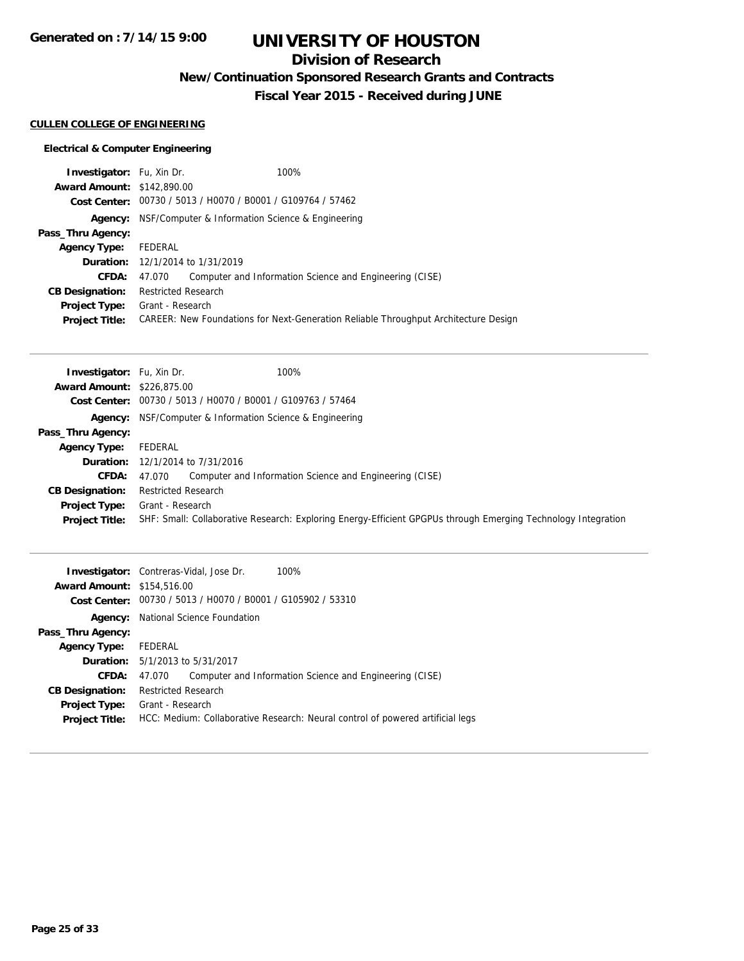**Generated on : 7/14/15 9:00**

# **UNIVERSITY OF HOUSTON**

# **Division of Research**

**New/Continuation Sponsored Research Grants and Contracts**

**Fiscal Year 2015 - Received during JUNE**

## **CULLEN COLLEGE OF ENGINEERING**

| <b>Investigator:</b> Fu, Xin Dr.  |                                                                 | 100%                                                                                |
|-----------------------------------|-----------------------------------------------------------------|-------------------------------------------------------------------------------------|
| <b>Award Amount: \$142,890.00</b> |                                                                 |                                                                                     |
|                                   | Cost Center: 00730 / 5013 / H0070 / B0001 / G109764 / 57462     |                                                                                     |
|                                   | <b>Agency:</b> NSF/Computer & Information Science & Engineering |                                                                                     |
| Pass_Thru Agency:                 |                                                                 |                                                                                     |
| <b>Agency Type:</b>               | FEDERAL                                                         |                                                                                     |
|                                   | <b>Duration:</b> 12/1/2014 to 1/31/2019                         |                                                                                     |
| <b>CFDA:</b>                      | 47.070                                                          | Computer and Information Science and Engineering (CISE)                             |
| <b>CB Designation:</b>            | <b>Restricted Research</b>                                      |                                                                                     |
| <b>Project Type:</b>              | Grant - Research                                                |                                                                                     |
| <b>Project Title:</b>             |                                                                 | CAREER: New Foundations for Next-Generation Reliable Throughput Architecture Design |

| <b>Investigator:</b> Fu, Xin Dr.  | 100%                                                                                                          |
|-----------------------------------|---------------------------------------------------------------------------------------------------------------|
| <b>Award Amount: \$226,875,00</b> |                                                                                                               |
|                                   | Cost Center: 00730 / 5013 / H0070 / B0001 / G109763 / 57464                                                   |
|                                   | <b>Agency:</b> NSF/Computer & Information Science & Engineering                                               |
| Pass_Thru Agency:                 |                                                                                                               |
| <b>Agency Type:</b>               | FEDERAL                                                                                                       |
|                                   | <b>Duration:</b> 12/1/2014 to 7/31/2016                                                                       |
| <b>CFDA:</b>                      | Computer and Information Science and Engineering (CISE)<br>47.070                                             |
| <b>CB Designation:</b>            | <b>Restricted Research</b>                                                                                    |
| <b>Project Type:</b>              | Grant - Research                                                                                              |
| <b>Project Title:</b>             | SHF: Small: Collaborative Research: Exploring Energy-Efficient GPGPUs through Emerging Technology Integration |

|                                   | 100%<br><b>Investigator:</b> Contreras-Vidal, Jose Dr.                         |
|-----------------------------------|--------------------------------------------------------------------------------|
| <b>Award Amount: \$154,516.00</b> |                                                                                |
|                                   | Cost Center: 00730 / 5013 / H0070 / B0001 / G105902 / 53310                    |
|                                   | <b>Agency:</b> National Science Foundation                                     |
| Pass_Thru Agency:                 |                                                                                |
| <b>Agency Type:</b>               | FEDERAL                                                                        |
|                                   | <b>Duration:</b> 5/1/2013 to 5/31/2017                                         |
| <b>CFDA:</b>                      | Computer and Information Science and Engineering (CISE)<br>47.070              |
| <b>CB Designation:</b>            | <b>Restricted Research</b>                                                     |
| <b>Project Type:</b>              | Grant - Research                                                               |
| <b>Project Title:</b>             | HCC: Medium: Collaborative Research: Neural control of powered artificial legs |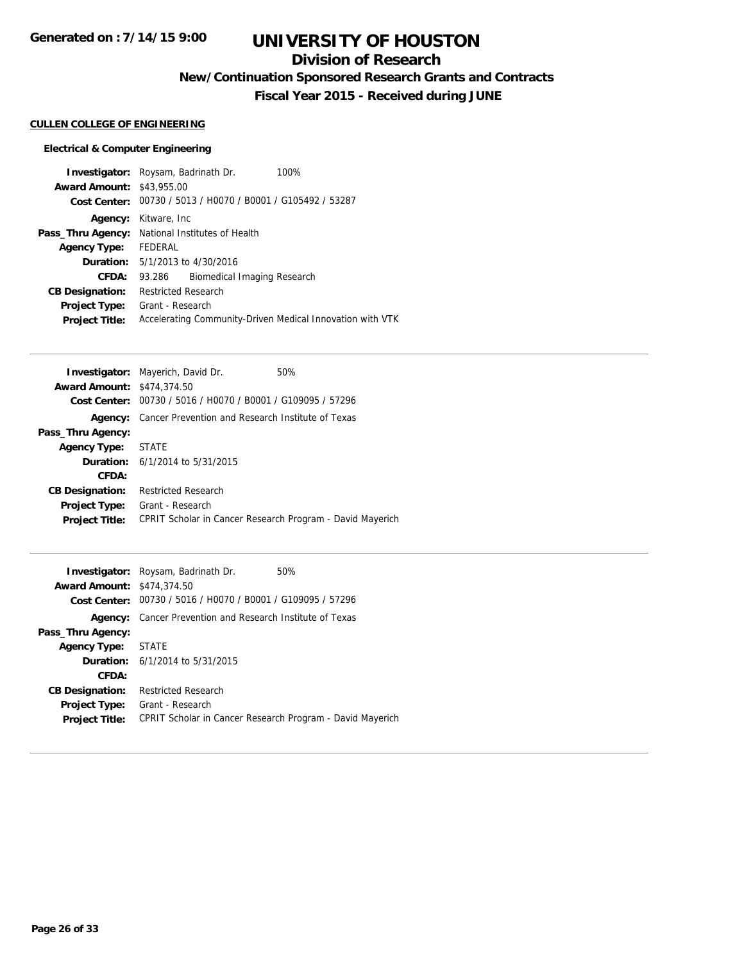# **Division of Research**

**New/Continuation Sponsored Research Grants and Contracts**

**Fiscal Year 2015 - Received during JUNE**

## **CULLEN COLLEGE OF ENGINEERING**

|                                  | <b>Investigator:</b> Roysam, Badrinath Dr.<br>100%          |
|----------------------------------|-------------------------------------------------------------|
| <b>Award Amount: \$43,955.00</b> |                                                             |
|                                  | Cost Center: 00730 / 5013 / H0070 / B0001 / G105492 / 53287 |
| Agency:                          | Kitware, Inc                                                |
|                                  | <b>Pass_Thru Agency:</b> National Institutes of Health      |
| <b>Agency Type:</b>              | FEDERAL                                                     |
|                                  | <b>Duration:</b> 5/1/2013 to 4/30/2016                      |
| CFDA:                            | Biomedical Imaging Research<br>93.286                       |
| <b>CB Designation:</b>           | <b>Restricted Research</b>                                  |
| <b>Project Type:</b>             | Grant - Research                                            |
| <b>Project Title:</b>            | Accelerating Community-Driven Medical Innovation with VTK   |

|                                   | <b>Investigator:</b> Mayerich, David Dr.                  | 50% |
|-----------------------------------|-----------------------------------------------------------|-----|
| <b>Award Amount: \$474,374.50</b> |                                                           |     |
| Cost Center:                      | 00730 / 5016 / H0070 / B0001 / G109095 / 57296            |     |
| Agency:                           | Cancer Prevention and Research Institute of Texas         |     |
| Pass_Thru Agency:                 |                                                           |     |
| <b>Agency Type:</b>               | <b>STATE</b>                                              |     |
|                                   | <b>Duration:</b> $6/1/2014$ to $5/31/2015$                |     |
| CFDA:                             |                                                           |     |
| <b>CB Designation:</b>            | <b>Restricted Research</b>                                |     |
| <b>Project Type:</b>              | Grant - Research                                          |     |
| <b>Project Title:</b>             | CPRIT Scholar in Cancer Research Program - David Mayerich |     |
|                                   |                                                           |     |

|                                   | <b>Investigator:</b> Roysam, Badrinath Dr.<br>50%         |
|-----------------------------------|-----------------------------------------------------------|
| <b>Award Amount: \$474,374.50</b> |                                                           |
| Cost Center:                      | 00730 / 5016 / H0070 / B0001 / G109095 / 57296            |
| Agency:                           | Cancer Prevention and Research Institute of Texas         |
| Pass_Thru Agency:                 |                                                           |
| <b>Agency Type: STATE</b>         |                                                           |
|                                   | <b>Duration:</b> 6/1/2014 to 5/31/2015                    |
| CFDA:                             |                                                           |
| <b>CB Designation:</b>            | <b>Restricted Research</b>                                |
| <b>Project Type:</b>              | Grant - Research                                          |
| <b>Project Title:</b>             | CPRIT Scholar in Cancer Research Program - David Mayerich |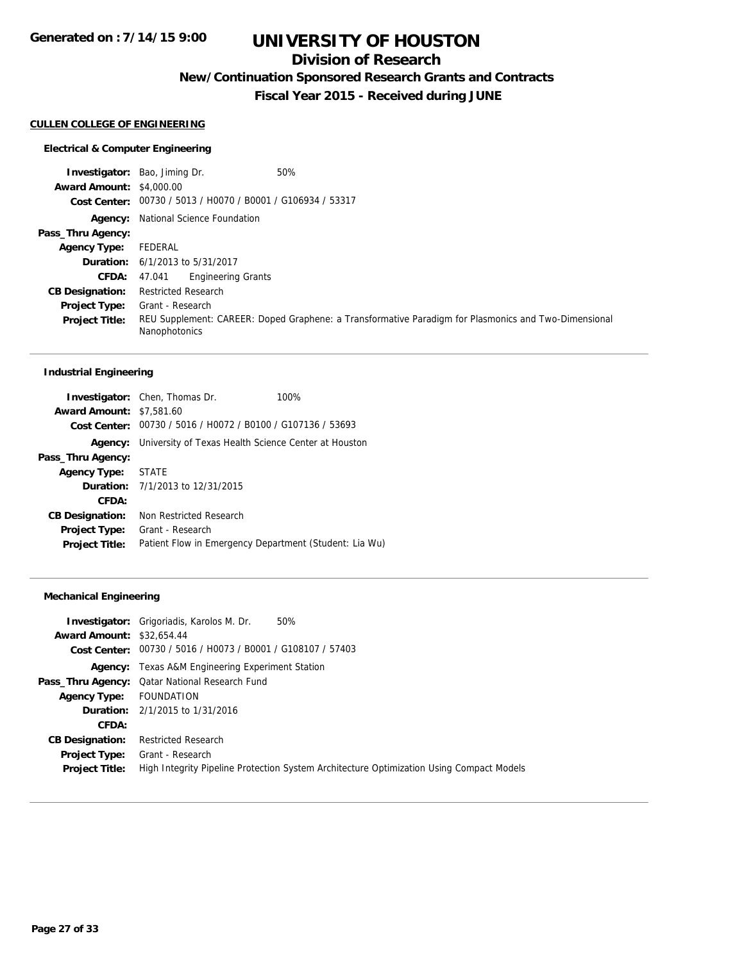## **Division of Research**

**New/Continuation Sponsored Research Grants and Contracts**

**Fiscal Year 2015 - Received during JUNE**

#### **CULLEN COLLEGE OF ENGINEERING**

#### **Electrical & Computer Engineering**

**Investigator:** Bao, Jiming Dr. 60% **Award Amount:** \$4,000.00 **Cost Center:** 00730 / 5013 / H0070 / B0001 / G106934 / 53317 **Agency:** National Science Foundation **Pass\_Thru Agency: Agency Type:** FEDERAL **Duration:** 6/1/2013 to 5/31/2017 **CFDA:** 47.041 Engineering Grants **CB Designation:** Restricted Research **Project Type:** Grant - Research **Project Title:** REU Supplement: CAREER: Doped Graphene: a Transformative Paradigm for Plasmonics and Two-Dimensional Nanophotonics

#### **Industrial Engineering**

|                                 | <b>Investigator:</b> Chen, Thomas Dr.   | 100%                                                                |  |
|---------------------------------|-----------------------------------------|---------------------------------------------------------------------|--|
| <b>Award Amount: \$7,581.60</b> |                                         |                                                                     |  |
|                                 |                                         | Cost Center: 00730 / 5016 / H0072 / B0100 / G107136 / 53693         |  |
|                                 |                                         | <b>Agency:</b> University of Texas Health Science Center at Houston |  |
| Pass_Thru Agency:               |                                         |                                                                     |  |
| Agency Type: STATE              |                                         |                                                                     |  |
|                                 | <b>Duration:</b> 7/1/2013 to 12/31/2015 |                                                                     |  |
| CFDA:                           |                                         |                                                                     |  |
| <b>CB Designation:</b>          | Non Restricted Research                 |                                                                     |  |
| <b>Project Type:</b>            | Grant - Research                        |                                                                     |  |
| <b>Project Title:</b>           |                                         | Patient Flow in Emergency Department (Student: Lia Wu)              |  |

#### **Mechanical Engineering**

|                                  | <b>Investigator:</b> Grigoriadis, Karolos M. Dr.<br>50%                                  |
|----------------------------------|------------------------------------------------------------------------------------------|
| <b>Award Amount: \$32,654.44</b> |                                                                                          |
|                                  | Cost Center: 00730 / 5016 / H0073 / B0001 / G108107 / 57403                              |
|                                  | <b>Agency:</b> Texas A&M Engineering Experiment Station                                  |
|                                  | <b>Pass_Thru Agency:</b> Qatar National Research Fund                                    |
| <b>Agency Type:</b>              | FOUNDATION                                                                               |
|                                  | <b>Duration:</b> 2/1/2015 to 1/31/2016                                                   |
| CFDA:                            |                                                                                          |
| <b>CB Designation:</b>           | <b>Restricted Research</b>                                                               |
| <b>Project Type:</b>             | Grant - Research                                                                         |
| <b>Project Title:</b>            | High Integrity Pipeline Protection System Architecture Optimization Using Compact Models |
|                                  |                                                                                          |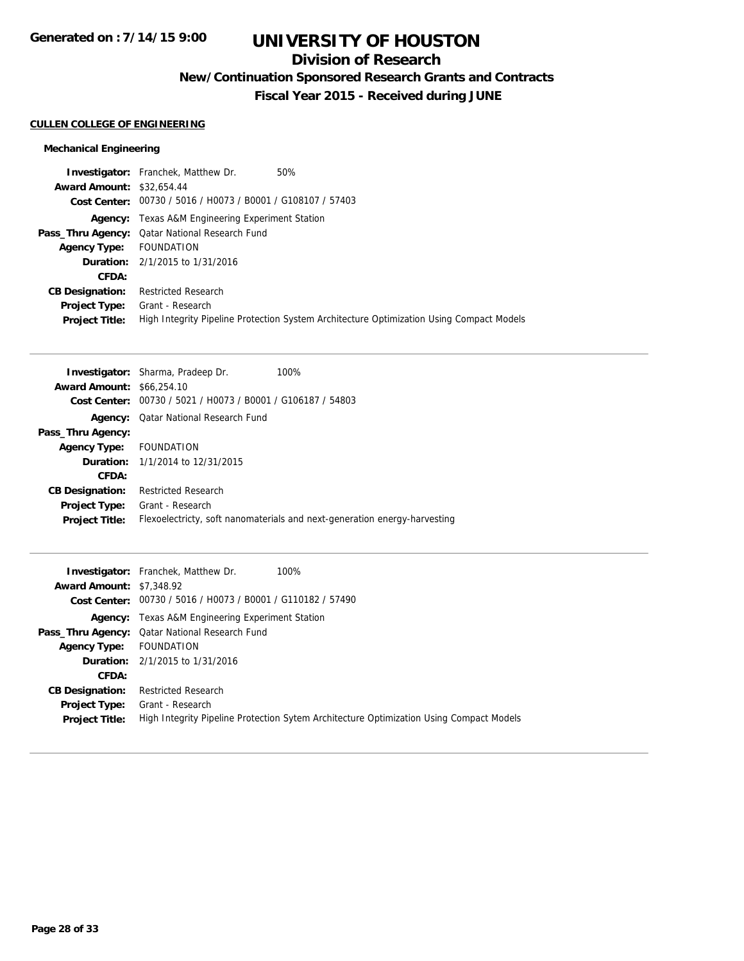# **Division of Research**

**New/Continuation Sponsored Research Grants and Contracts**

**Fiscal Year 2015 - Received during JUNE**

### **CULLEN COLLEGE OF ENGINEERING**

## **Mechanical Engineering**

|                                  | 50%<br><b>Investigator:</b> Franchek, Matthew Dr.                                        |
|----------------------------------|------------------------------------------------------------------------------------------|
| <b>Award Amount: \$32,654.44</b> |                                                                                          |
|                                  | Cost Center: 00730 / 5016 / H0073 / B0001 / G108107 / 57403                              |
|                                  | <b>Agency:</b> Texas A&M Engineering Experiment Station                                  |
|                                  | Pass_Thru Agency: Qatar National Research Fund                                           |
| Agency Type: FOUNDATION          |                                                                                          |
|                                  | <b>Duration:</b> 2/1/2015 to 1/31/2016                                                   |
| CFDA:                            |                                                                                          |
| <b>CB Designation:</b>           | <b>Restricted Research</b>                                                               |
| Project Type:                    | Grant - Research                                                                         |
| <b>Project Title:</b>            | High Integrity Pipeline Protection System Architecture Optimization Using Compact Models |

| <b>Investigator:</b> Sharma, Pradeep Dr. | 100%                                                                      |
|------------------------------------------|---------------------------------------------------------------------------|
| <b>Award Amount: \$66,254.10</b>         |                                                                           |
|                                          |                                                                           |
| Qatar National Research Fund             |                                                                           |
|                                          |                                                                           |
| FOUNDATION                               |                                                                           |
| <b>Duration:</b> 1/1/2014 to 12/31/2015  |                                                                           |
|                                          |                                                                           |
| <b>Restricted Research</b>               |                                                                           |
| Grant - Research                         |                                                                           |
|                                          | Flexoelectricty, soft nanomaterials and next-generation energy-harvesting |
|                                          | 00730 / 5021 / H0073 / B0001 / G106187 / 54803                            |

| <b>Award Amount: \$7,348.92</b>               | <b>Investigator:</b> Franchek, Matthew Dr.<br>100%                                                          |
|-----------------------------------------------|-------------------------------------------------------------------------------------------------------------|
|                                               | Cost Center: 00730 / 5016 / H0073 / B0001 / G110182 / 57490                                                 |
|                                               | <b>Agency:</b> Texas A&M Engineering Experiment Station                                                     |
|                                               | <b>Pass_Thru Agency:</b> Qatar National Research Fund                                                       |
| <b>Agency Type:</b>                           | FOUNDATION                                                                                                  |
|                                               | <b>Duration:</b> 2/1/2015 to 1/31/2016                                                                      |
| CFDA:                                         |                                                                                                             |
| <b>CB Designation:</b>                        | <b>Restricted Research</b>                                                                                  |
| <b>Project Type:</b><br><b>Project Title:</b> | Grant - Research<br>High Integrity Pipeline Protection Sytem Architecture Optimization Using Compact Models |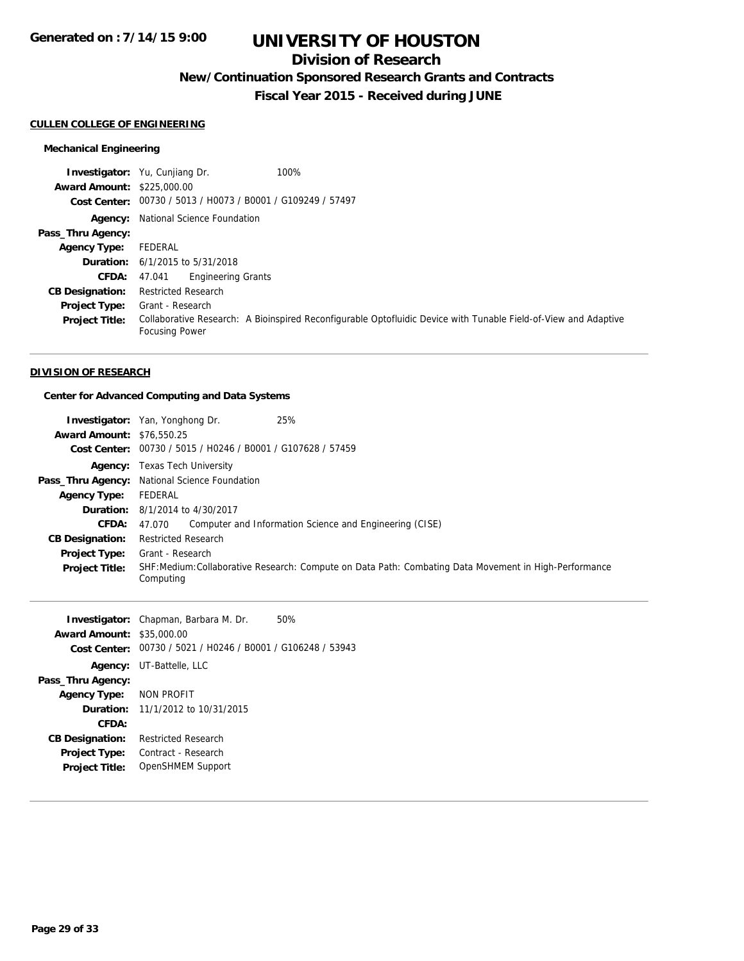# **Division of Research**

**New/Continuation Sponsored Research Grants and Contracts**

**Fiscal Year 2015 - Received during JUNE**

### **CULLEN COLLEGE OF ENGINEERING**

## **Mechanical Engineering**

|                                   | 100%<br><b>Investigator:</b> Yu, Cunjiang Dr.                                                                                            |
|-----------------------------------|------------------------------------------------------------------------------------------------------------------------------------------|
| <b>Award Amount: \$225,000.00</b> |                                                                                                                                          |
|                                   | Cost Center: 00730 / 5013 / H0073 / B0001 / G109249 / 57497                                                                              |
|                                   | <b>Agency:</b> National Science Foundation                                                                                               |
| Pass_Thru Agency:                 |                                                                                                                                          |
| <b>Agency Type:</b>               | FEDERAL                                                                                                                                  |
|                                   | <b>Duration:</b> $6/1/2015$ to $5/31/2018$                                                                                               |
| CFDA:                             | <b>Engineering Grants</b><br>47.041                                                                                                      |
| <b>CB Designation:</b>            | <b>Restricted Research</b>                                                                                                               |
| <b>Project Type:</b>              | Grant - Research                                                                                                                         |
| <b>Project Title:</b>             | Collaborative Research: A Bioinspired Reconfigurable Optofluidic Device with Tunable Field-of-View and Adaptive<br><b>Focusing Power</b> |

#### **DIVISION OF RESEARCH**

## **Center for Advanced Computing and Data Systems**

| <b>Award Amount: \$76,550.25</b><br><b>Cost Center:</b>                                                                                                                                                              | <b>Investigator:</b> Yan, Yonghong Dr.<br>00730 / 5015 / H0246 / B0001 / G107628 / 57459                                                                                                                                               | 25%                                                                                                                                                             |
|----------------------------------------------------------------------------------------------------------------------------------------------------------------------------------------------------------------------|----------------------------------------------------------------------------------------------------------------------------------------------------------------------------------------------------------------------------------------|-----------------------------------------------------------------------------------------------------------------------------------------------------------------|
| Pass_Thru Agency:<br><b>Agency Type:</b><br>Duration:<br>CFDA:<br><b>CB Designation:</b><br><b>Project Type:</b><br>Project Title:                                                                                   | <b>Agency:</b> Texas Tech University<br>National Science Foundation<br>FEDERAL<br>8/1/2014 to 4/30/2017<br>47.070<br><b>Restricted Research</b><br>Grant - Research<br>Computing                                                       | Computer and Information Science and Engineering (CISE)<br>SHF:Medium:Collaborative Research: Compute on Data Path: Combating Data Movement in High-Performance |
| Investigator:<br><b>Award Amount:</b><br><b>Cost Center:</b><br>Agency:<br>Pass_Thru Agency:<br><b>Agency Type:</b><br>Duration:<br>CFDA:<br><b>CB Designation:</b><br><b>Project Type:</b><br><b>Project Title:</b> | Chapman, Barbara M. Dr.<br>\$35,000.00<br>00730 / 5021 / H0246 / B0001 / G106248 / 53943<br>UT-Battelle, LLC<br><b>NON PROFIT</b><br>11/1/2012 to 10/31/2015<br><b>Restricted Research</b><br>Contract - Research<br>OpenSHMEM Support | 50%                                                                                                                                                             |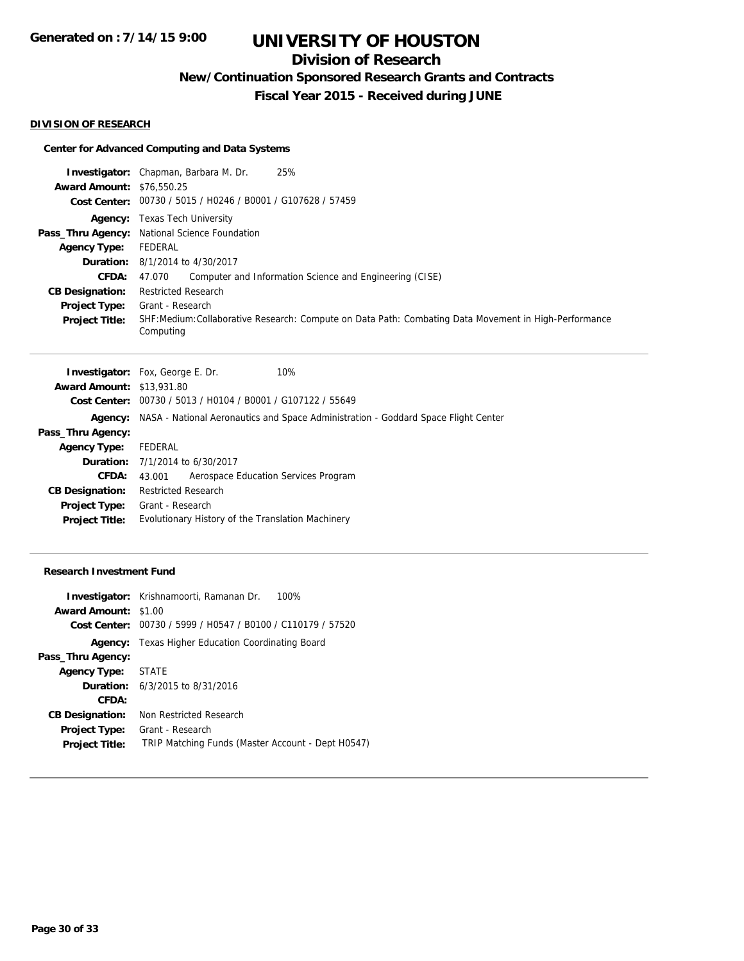# **Division of Research**

**New/Continuation Sponsored Research Grants and Contracts**

**Fiscal Year 2015 - Received during JUNE**

#### **DIVISION OF RESEARCH**

## **Center for Advanced Computing and Data Systems**

|                                  | <b>Investigator:</b> Chapman, Barbara M. Dr.<br>25%                                                               |  |  |
|----------------------------------|-------------------------------------------------------------------------------------------------------------------|--|--|
| <b>Award Amount: \$76,550.25</b> |                                                                                                                   |  |  |
|                                  | Cost Center: 00730 / 5015 / H0246 / B0001 / G107628 / 57459                                                       |  |  |
|                                  | <b>Agency:</b> Texas Tech University                                                                              |  |  |
|                                  | Pass_Thru Agency: National Science Foundation                                                                     |  |  |
| Agency Type:                     | FEDERAL                                                                                                           |  |  |
|                                  | <b>Duration:</b> 8/1/2014 to 4/30/2017                                                                            |  |  |
| <b>CFDA:</b>                     | Computer and Information Science and Engineering (CISE)<br>47.070                                                 |  |  |
| <b>CB Designation:</b>           | <b>Restricted Research</b>                                                                                        |  |  |
| <b>Project Type:</b>             | Grant - Research                                                                                                  |  |  |
| <b>Project Title:</b>            | SHF:Medium:Collaborative Research: Compute on Data Path: Combating Data Movement in High-Performance<br>Computing |  |  |

|                                  | <b>Investigator:</b> Fox, George E. Dr.<br>10%                                     |
|----------------------------------|------------------------------------------------------------------------------------|
| <b>Award Amount: \$13,931.80</b> |                                                                                    |
|                                  | Cost Center: 00730 / 5013 / H0104 / B0001 / G107122 / 55649                        |
| Agency:                          | NASA - National Aeronautics and Space Administration - Goddard Space Flight Center |
| Pass_Thru Agency:                |                                                                                    |
| <b>Agency Type:</b>              | FEDERAL                                                                            |
|                                  | <b>Duration:</b> 7/1/2014 to 6/30/2017                                             |
| <b>CFDA:</b>                     | Aerospace Education Services Program<br>43.001                                     |
| <b>CB Designation:</b>           | <b>Restricted Research</b>                                                         |
| <b>Project Type:</b>             | Grant - Research                                                                   |
| <b>Project Title:</b>            | Evolutionary History of the Translation Machinery                                  |
|                                  |                                                                                    |

### **Research Investment Fund**

|                             | <b>Investigator:</b> Krishnamoorti, Ramanan Dr.<br>100%     |
|-----------------------------|-------------------------------------------------------------|
| <b>Award Amount: \$1.00</b> |                                                             |
|                             | Cost Center: 00730 / 5999 / H0547 / B0100 / C110179 / 57520 |
|                             | <b>Agency:</b> Texas Higher Education Coordinating Board    |
| Pass_Thru Agency:           |                                                             |
| Agency Type: STATE          |                                                             |
|                             | <b>Duration:</b> 6/3/2015 to 8/31/2016                      |
| CFDA:                       |                                                             |
| <b>CB Designation:</b>      | Non Restricted Research                                     |
| Project Type:               | Grant - Research                                            |
| <b>Project Title:</b>       | TRIP Matching Funds (Master Account - Dept H0547)           |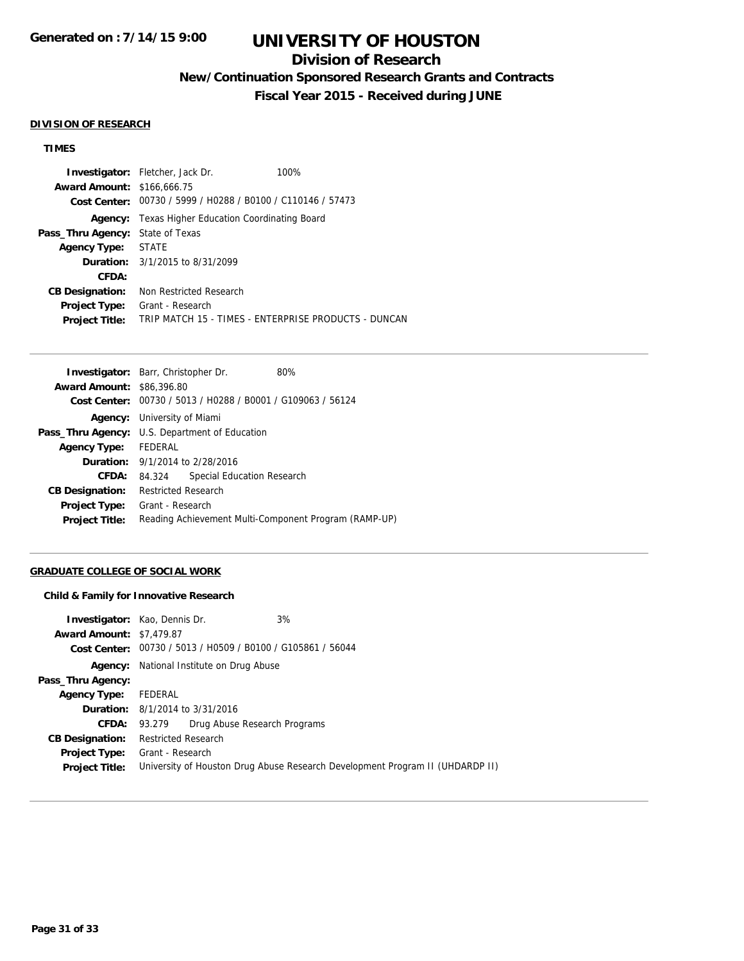# **Division of Research**

**New/Continuation Sponsored Research Grants and Contracts**

**Fiscal Year 2015 - Received during JUNE**

#### **DIVISION OF RESEARCH**

## **TIMES**

|                                   | <b>Investigator:</b> Fletcher, Jack Dr.                     | 100%                                                 |  |
|-----------------------------------|-------------------------------------------------------------|------------------------------------------------------|--|
| <b>Award Amount: \$166,666.75</b> |                                                             |                                                      |  |
|                                   | Cost Center: 00730 / 5999 / H0288 / B0100 / C110146 / 57473 |                                                      |  |
|                                   | <b>Agency:</b> Texas Higher Education Coordinating Board    |                                                      |  |
| Pass_Thru Agency:                 | State of Texas                                              |                                                      |  |
| <b>Agency Type: STATE</b>         |                                                             |                                                      |  |
|                                   | <b>Duration:</b> 3/1/2015 to 8/31/2099                      |                                                      |  |
| CFDA:                             |                                                             |                                                      |  |
| <b>CB Designation:</b>            | Non Restricted Research                                     |                                                      |  |
| <b>Project Type:</b>              | Grant - Research                                            |                                                      |  |
| <b>Project Title:</b>             |                                                             | TRIP MATCH 15 - TIMES - ENTERPRISE PRODUCTS - DUNCAN |  |

|                                  | <b>Investigator:</b> Barr, Christopher Dr.                  | 80%                        |  |
|----------------------------------|-------------------------------------------------------------|----------------------------|--|
| <b>Award Amount: \$86,396.80</b> |                                                             |                            |  |
|                                  | Cost Center: 00730 / 5013 / H0288 / B0001 / G109063 / 56124 |                            |  |
|                                  | <b>Agency:</b> University of Miami                          |                            |  |
|                                  | <b>Pass_Thru Agency:</b> U.S. Department of Education       |                            |  |
| Agency Type: FEDERAL             |                                                             |                            |  |
|                                  | <b>Duration:</b> 9/1/2014 to 2/28/2016                      |                            |  |
| CFDA:                            | 84.324                                                      | Special Education Research |  |
| <b>CB Designation:</b>           | <b>Restricted Research</b>                                  |                            |  |
| Project Type:                    | Grant - Research                                            |                            |  |
| <b>Project Title:</b>            | Reading Achievement Multi-Component Program (RAMP-UP)       |                            |  |

## **GRADUATE COLLEGE OF SOCIAL WORK**

#### **Child & Family for Innovative Research**

| <b>Investigator:</b> Kao, Dennis Dr.                                          | 3% |  |
|-------------------------------------------------------------------------------|----|--|
| <b>Award Amount: \$7,479.87</b>                                               |    |  |
| Cost Center: 00730 / 5013 / H0509 / B0100 / G105861 / 56044                   |    |  |
| National Institute on Drug Abuse<br>Agency:                                   |    |  |
|                                                                               |    |  |
| FEDERAL                                                                       |    |  |
| <b>Duration:</b> 8/1/2014 to 3/31/2016                                        |    |  |
| 93.279 Drug Abuse Research Programs                                           |    |  |
| <b>Restricted Research</b>                                                    |    |  |
| Grant - Research                                                              |    |  |
| University of Houston Drug Abuse Research Development Program II (UHDARDP II) |    |  |
|                                                                               |    |  |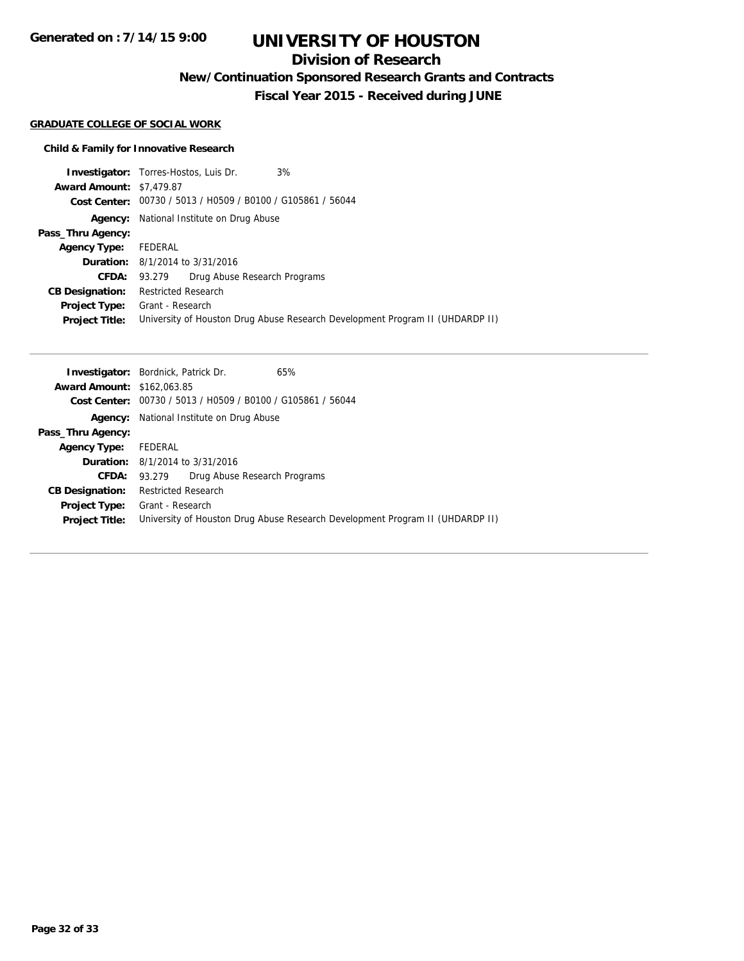**Generated on : 7/14/15 9:00**

# **UNIVERSITY OF HOUSTON**

# **Division of Research**

**New/Continuation Sponsored Research Grants and Contracts**

**Fiscal Year 2015 - Received during JUNE**

#### **GRADUATE COLLEGE OF SOCIAL WORK**

## **Child & Family for Innovative Research**

|                                 | 3%<br><b>Investigator:</b> Torres-Hostos, Luis Dr.                            |  |  |
|---------------------------------|-------------------------------------------------------------------------------|--|--|
| <b>Award Amount: \$7,479.87</b> |                                                                               |  |  |
|                                 | Cost Center: 00730 / 5013 / H0509 / B0100 / G105861 / 56044                   |  |  |
| Agency:                         | National Institute on Drug Abuse                                              |  |  |
| Pass_Thru Agency:               |                                                                               |  |  |
| <b>Agency Type:</b>             | FEDERAL                                                                       |  |  |
|                                 | <b>Duration:</b> 8/1/2014 to 3/31/2016                                        |  |  |
| <b>CFDA:</b>                    | Drug Abuse Research Programs<br>93.279                                        |  |  |
| <b>CB Designation:</b>          | <b>Restricted Research</b>                                                    |  |  |
| <b>Project Type:</b>            | Grant - Research                                                              |  |  |
| <b>Project Title:</b>           | University of Houston Drug Abuse Research Development Program II (UHDARDP II) |  |  |

|                                   | <b>Investigator:</b> Bordnick, Patrick Dr.                                    | 65% |  |
|-----------------------------------|-------------------------------------------------------------------------------|-----|--|
| <b>Award Amount: \$162,063.85</b> |                                                                               |     |  |
| Cost Center:                      | 00730 / 5013 / H0509 / B0100 / G105861 / 56044                                |     |  |
| Agency:                           | National Institute on Drug Abuse                                              |     |  |
| Pass_Thru Agency:                 |                                                                               |     |  |
| <b>Agency Type:</b>               | FEDERAL                                                                       |     |  |
|                                   | <b>Duration:</b> 8/1/2014 to 3/31/2016                                        |     |  |
| CFDA:                             | Drug Abuse Research Programs<br>93.279                                        |     |  |
| <b>CB Designation:</b>            | <b>Restricted Research</b>                                                    |     |  |
| <b>Project Type:</b>              | Grant - Research                                                              |     |  |
| <b>Project Title:</b>             | University of Houston Drug Abuse Research Development Program II (UHDARDP II) |     |  |
|                                   |                                                                               |     |  |